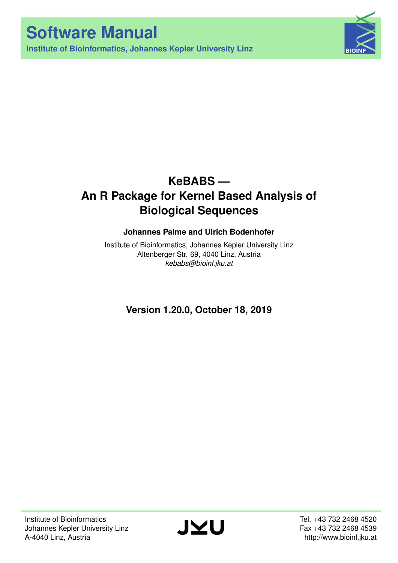**Institute of Bioinformatics, Johannes Kepler University Linz**



# **KeBABS — An R Package for Kernel Based Analysis of Biological Sequences**

## **Johannes Palme and Ulrich Bodenhofer**

Institute of Bioinformatics, Johannes Kepler University Linz Altenberger Str. 69, 4040 Linz, Austria *[kebabs@bioinf.jku.at](mailto:kebabs@bioinf.jku.at)*

**Version 1.20.0, October 18, 2019**

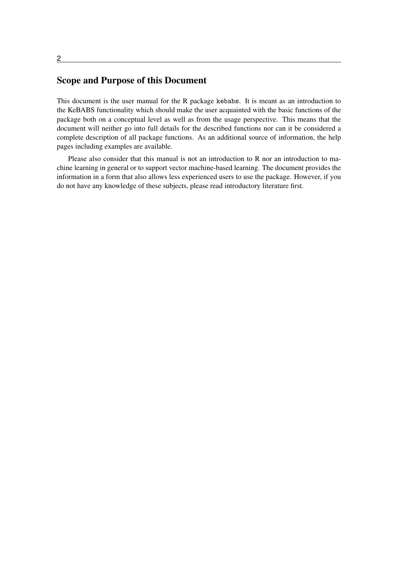#### 2

## Scope and Purpose of this Document

This document is the user manual for the R package kebabs. It is meant as an introduction to the KeBABS functionality which should make the user acquainted with the basic functions of the package both on a conceptual level as well as from the usage perspective. This means that the document will neither go into full details for the described functions nor can it be considered a complete description of all package functions. As an additional source of information, the help pages including examples are available.

Please also consider that this manual is not an introduction to R nor an introduction to machine learning in general or to support vector machine-based learning. The document provides the information in a form that also allows less experienced users to use the package. However, if you do not have any knowledge of these subjects, please read introductory literature first.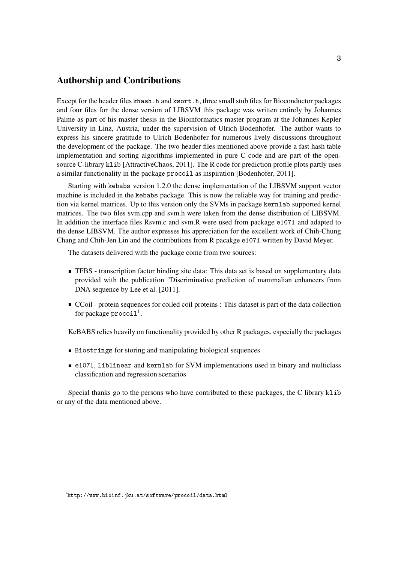## Authorship and Contributions

Except for the header files khash.h and ksort.h, three small stub files for Bioconductor packages and four files for the dense version of LIBSVM this package was written entirely by Johannes Palme as part of his master thesis in the Bioinformatics master program at the Johannes Kepler University in Linz, Austria, under the supervision of Ulrich Bodenhofer. The author wants to express his sincere gratitude to Ulrich Bodenhofer for numerous lively discussions throughout the development of the package. The two header files mentioned above provide a fast hash table implementation and sorting algorithms implemented in pure C code and are part of the opensource C-library klib [\[AttractiveChaos, 2011\]](#page-72-0). The R code for prediction profile plots partly uses a similar functionality in the package procoil as inspiration [\[Bodenhofer, 2011\]](#page-72-1).

Starting with kebabs version 1.2.0 the dense implementation of the LIBSVM support vector machine is included in the kebabs package. This is now the reliable way for training and prediction via kernel matrices. Up to this version only the SVMs in package kernlab supported kernel matrices. The two files svm.cpp and svm.h were taken from the dense distribution of LIBSVM. In addition the interface files Rsvm.c and svm.R were used from package e1071 and adapted to the dense LIBSVM. The author expresses his appreciation for the excellent work of Chih-Chung Chang and Chih-Jen Lin and the contributions from R pacakge e1071 written by David Meyer.

The datasets delivered with the package come from two sources:

- TFBS transcription factor binding site data: This data set is based on supplementary data provided with the publication "Discriminative prediction of mammalian enhancers from DNA sequence by [Lee et al.](#page-72-2) [\[2011\]](#page-72-2).
- CCoil protein sequences for coiled coil proteins : This dataset is part of the data collection for package  $\mathop{\mathtt{proc}}\nolimits$  oil  $^1$  $^1$  .

KeBABS relies heavily on functionality provided by other R packages, especially the packages

- Biostrings for storing and manipulating biological sequences
- e1071, Liblinear and kernlab for SVM implementations used in binary and multiclass classification and regression scenarios

Special thanks go to the persons who have contributed to these packages, the C library klib or any of the data mentioned above.

<span id="page-2-0"></span> $^{\rm l}$ <http://www.bioinf.jku.at/software/procoil/data.html>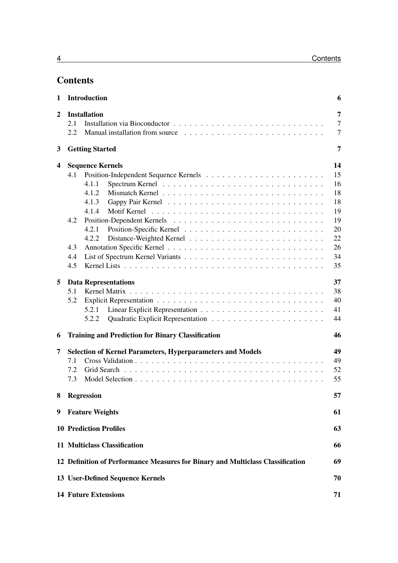## **Contents**

| <b>Introduction</b><br>1 |                                                                                      |                                                                   |                |  |  |  |  |  |  |
|--------------------------|--------------------------------------------------------------------------------------|-------------------------------------------------------------------|----------------|--|--|--|--|--|--|
| $\boldsymbol{2}$         |                                                                                      | <b>Installation</b>                                               | 7              |  |  |  |  |  |  |
|                          | 2.1                                                                                  |                                                                   | $\overline{7}$ |  |  |  |  |  |  |
|                          | 2.2                                                                                  |                                                                   | $\overline{7}$ |  |  |  |  |  |  |
| 3                        |                                                                                      | <b>Getting Started</b>                                            | 7              |  |  |  |  |  |  |
| 4                        |                                                                                      | <b>Sequence Kernels</b>                                           | 14             |  |  |  |  |  |  |
|                          | 4.1                                                                                  |                                                                   | 15             |  |  |  |  |  |  |
|                          |                                                                                      | 4.1.1                                                             | 16             |  |  |  |  |  |  |
|                          |                                                                                      | 4.1.2                                                             | 18             |  |  |  |  |  |  |
|                          |                                                                                      | 4.1.3                                                             | 18             |  |  |  |  |  |  |
|                          |                                                                                      | 4.1.4                                                             | 19             |  |  |  |  |  |  |
|                          | 4.2                                                                                  |                                                                   | 19             |  |  |  |  |  |  |
|                          |                                                                                      | 4.2.1                                                             | 20             |  |  |  |  |  |  |
|                          |                                                                                      | 4.2.2                                                             | 22             |  |  |  |  |  |  |
|                          | 4.3                                                                                  |                                                                   | 26             |  |  |  |  |  |  |
|                          | 4.4                                                                                  |                                                                   | 34             |  |  |  |  |  |  |
|                          | 4.5                                                                                  |                                                                   | 35             |  |  |  |  |  |  |
| 5                        |                                                                                      | <b>Data Representations</b>                                       | 37             |  |  |  |  |  |  |
|                          | 5.1                                                                                  |                                                                   | 38             |  |  |  |  |  |  |
|                          | 5.2                                                                                  |                                                                   | 40             |  |  |  |  |  |  |
|                          |                                                                                      | 5.2.1                                                             | 41             |  |  |  |  |  |  |
|                          |                                                                                      | 5.2.2                                                             | 44             |  |  |  |  |  |  |
|                          |                                                                                      |                                                                   | 46             |  |  |  |  |  |  |
| 6                        |                                                                                      | <b>Training and Prediction for Binary Classification</b>          |                |  |  |  |  |  |  |
| 7                        |                                                                                      | <b>Selection of Kernel Parameters, Hyperparameters and Models</b> | 49             |  |  |  |  |  |  |
|                          | 7.1                                                                                  |                                                                   | 49             |  |  |  |  |  |  |
|                          | 7.2                                                                                  |                                                                   | 52             |  |  |  |  |  |  |
|                          | 7.3                                                                                  |                                                                   | 55             |  |  |  |  |  |  |
|                          |                                                                                      | 57<br>8 Regression                                                |                |  |  |  |  |  |  |
| 9                        | <b>Feature Weights</b><br>61                                                         |                                                                   |                |  |  |  |  |  |  |
|                          | <b>10 Prediction Profiles</b><br>63                                                  |                                                                   |                |  |  |  |  |  |  |
|                          |                                                                                      |                                                                   |                |  |  |  |  |  |  |
|                          | 11 Multiclass Classification<br>66                                                   |                                                                   |                |  |  |  |  |  |  |
|                          | 12 Definition of Performance Measures for Binary and Multiclass Classification<br>69 |                                                                   |                |  |  |  |  |  |  |
|                          | 13 User-Defined Sequence Kernels<br>70                                               |                                                                   |                |  |  |  |  |  |  |
|                          | <b>14 Future Extensions</b>                                                          |                                                                   |                |  |  |  |  |  |  |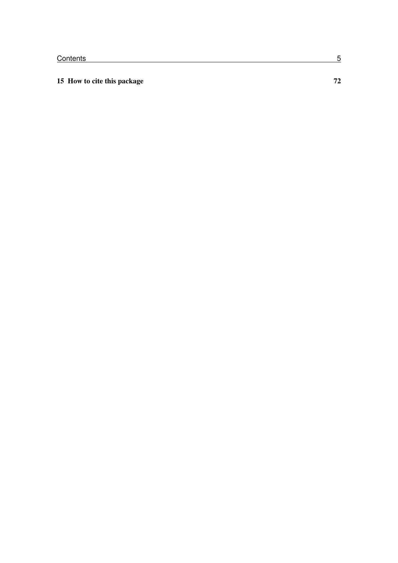## [15 How to cite this package](#page-71-0) 72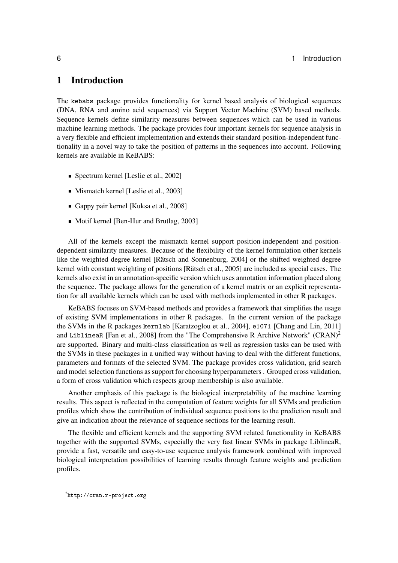## <span id="page-5-0"></span>1 Introduction

The kebabs package provides functionality for kernel based analysis of biological sequences (DNA, RNA and amino acid sequences) via Support Vector Machine (SVM) based methods. Sequence kernels define similarity measures between sequences which can be used in various machine learning methods. The package provides four important kernels for sequence analysis in a very flexible and efficient implementation and extends their standard position-independent functionality in a novel way to take the position of patterns in the sequences into account. Following kernels are available in KeBABS:

- Spectrum kernel [\[Leslie et al., 2002\]](#page-72-3)
- Mismatch kernel [\[Leslie et al., 2003\]](#page-72-4)
- Gappy pair kernel [\[Kuksa et al., 2008\]](#page-72-5)
- Motif kernel [\[Ben-Hur and Brutlag, 2003\]](#page-72-6)

All of the kernels except the mismatch kernel support position-independent and positiondependent similarity measures. Because of the flexibility of the kernel formulation other kernels like the weighted degree kernel [\[Rätsch and Sonnenburg, 2004\]](#page-72-7) or the shifted weighted degree kernel with constant weighting of positions [\[Rätsch et al., 2005\]](#page-73-0) are included as special cases. The kernels also exist in an annotation-specific version which uses annotation information placed along the sequence. The package allows for the generation of a kernel matrix or an explicit representation for all available kernels which can be used with methods implemented in other R packages.

KeBABS focuses on SVM-based methods and provides a framework that simplifies the usage of existing SVM implementations in other R packages. In the current version of the package the SVMs in the R packages kernlab [\[Karatzoglou et al., 2004\]](#page-72-8), e1071 [\[Chang and Lin, 2011\]](#page-72-9) and LiblineaR [\[Fan et al., 2008\]](#page-72-10) from the "The Comprehensive R Archive Network" (CRAN)<sup>[2](#page-5-1)</sup> are supported. Binary and multi-class classification as well as regression tasks can be used with the SVMs in these packages in a unified way without having to deal with the different functions, parameters and formats of the selected SVM. The package provides cross validation, grid search and model selection functions as support for choosing hyperparameters . Grouped cross validation, a form of cross validation which respects group membership is also available.

Another emphasis of this package is the biological interpretability of the machine learning results. This aspect is reflected in the computation of feature weights for all SVMs and prediction profiles which show the contribution of individual sequence positions to the prediction result and give an indication about the relevance of sequence sections for the learning result.

The flexible and efficient kernels and the supporting SVM related functionality in KeBABS together with the supported SVMs, especially the very fast linear SVMs in package LiblineaR, provide a fast, versatile and easy-to-use sequence analysis framework combined with improved biological interpretation possibilities of learning results through feature weights and prediction profiles.

<span id="page-5-1"></span> $^2$ <http://cran.r-project.org>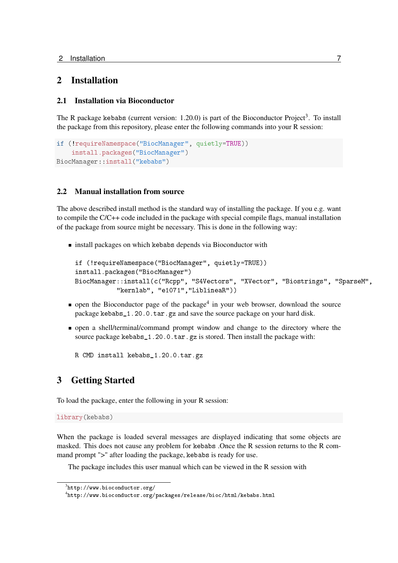## <span id="page-6-0"></span>2 Installation

## <span id="page-6-1"></span>2.1 Installation via Bioconductor

The R package kebabs (current version:  $1.20.0$ ) is part of the Bioconductor Project<sup>[3](#page-6-4)</sup>. To install the package from this repository, please enter the following commands into your R session:

```
if (!requireNamespace("BiocManager", quietly=TRUE))
    install.packages("BiocManager")
BiocManager::install("kebabs")
```
## <span id="page-6-2"></span>2.2 Manual installation from source

The above described install method is the standard way of installing the package. If you e.g. want to compile the C/C++ code included in the package with special compile flags, manual installation of the package from source might be necessary. This is done in the following way:

**Exercise install packages on which kebabs depends via Bioconductor with** 

```
if (!requireNamespace("BiocManager", quietly=TRUE))
install.packages("BiocManager")
BiocManager::install(c("Rcpp", "S4Vectors", "XVector", "Biostrings", "SparseM",
           "kernlab", "e1071","LiblineaR"))
```
- open the Bioconductor page of the package<sup>[4](#page-6-5)</sup> in your web browser, download the source package kebabs\_1.20.0.tar.gz and save the source package on your hard disk.
- open a shell/terminal/command prompt window and change to the directory where the source package kebabs\_1.20.0.tar.gz is stored. Then install the package with:

R CMD install kebabs\_1.20.0.tar.gz

## <span id="page-6-3"></span>3 Getting Started

To load the package, enter the following in your R session:

```
library(kebabs)
```
When the package is loaded several messages are displayed indicating that some objects are masked. This does not cause any problem for kebabs .Once the R session returns to the R command prompt ">" after loading the package, kebabs is ready for use.

The package includes this user manual which can be viewed in the R session with

<span id="page-6-4"></span> $^3$ <http://www.bioconductor.org/>

<span id="page-6-5"></span> $^4$ <http://www.bioconductor.org/packages/release/bioc/html/kebabs.html>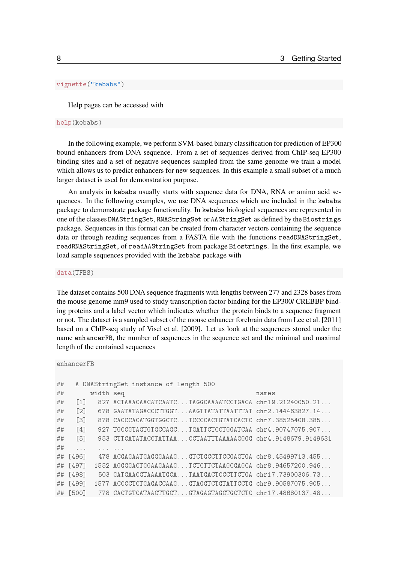### vignette("kebabs")

Help pages can be accessed with

#### help(kebabs)

In the following example, we perform SVM-based binary classification for prediction of EP300 bound enhancers from DNA sequence. From a set of sequences derived from ChIP-seq EP300 binding sites and a set of negative sequences sampled from the same genome we train a model which allows us to predict enhancers for new sequences. In this example a small subset of a much larger dataset is used for demonstration purpose.

An analysis in kebabs usually starts with sequence data for DNA, RNA or amino acid sequences. In the following examples, we use DNA sequences which are included in the kebabs package to demonstrate package functionality. In kebabs biological sequences are represented in one of the classes DNAStringSet, RNAStringSet or AAStringSet as defined by the Biostrings package. Sequences in this format can be created from character vectors containing the sequence data or through reading sequences from a FASTA file with the functions readDNAStringSet, readRNAStringSet, of readAAStringSet from package Biostrings. In the first example, we load sample sequences provided with the kebabs package with

data(TFBS)

The dataset contains 500 DNA sequence fragments with lengths between 277 and 2328 bases from the mouse genome mm9 used to study transcription factor binding for the EP300/ CREBBP binding proteins and a label vector which indicates whether the protein binds to a sequence fragment or not. The dataset is a sampled subset of the mouse enhancer forebrain data from [Lee et al.](#page-72-2) [\[2011\]](#page-72-2) based on a ChIP-seq study of [Visel et al.](#page-73-1) [\[2009\]](#page-73-1). Let us look at the sequences stored under the name enhancerFB, the number of sequences in the sequence set and the minimal and maximal length of the contained sequences

```
enhancerFB
```

| ## |                   |           | A DNAStringSet instance of length 500                       |       |
|----|-------------------|-----------|-------------------------------------------------------------|-------|
| ## |                   | width seq |                                                             | names |
| ## | $\lceil 1 \rceil$ |           | 827 $ACTAACAACATCAATC$ TAGGCAAAATCCTGACA chr19.21240050.21  |       |
| ## | $\lceil 2 \rceil$ |           | 678 GAATATAGACCCTTGGTAAGTTATATTAATTTAT chr2.144463827.14    |       |
| ## | $\lceil 3 \rceil$ |           | 878 CACCCACATGGTGGCTCTCCCCACTGTATCACTC chr7.38525408.385    |       |
| ## | $\lceil 4 \rceil$ |           | 927 TGCCGTAGTGTGCCAGCTGATTCTCCTGGATCAA chr4.90747075.907    |       |
| ## | $\sqrt{5}$        |           | 953 CTTCATATACCTATTAACCTAATTTAAAAAGGGG chr4.9148679.9149631 |       |
| ## | $\cdots$          |           |                                                             |       |
|    | ## [496]          |           | 478 ACGAGAATGAGGGAAAGGTCTGCCTTCCGAGTGA chr8.45499713.455    |       |
|    | ## $[497]$        |           | 1552 AGGGGACTGGAAGAAAGTCTCTTCTAAGCGAGCA chr8.94657200.946   |       |
|    | ## [498]          |           | 503 GATGAACGTAAAATGCATAATGACTCCCTTCTGA chr17.73900306.73    |       |
|    | ## [499]          |           | 1577 ACCCCTCTGAGACCAAGGTAGGTCTGTATTCCTG chr9.90587075.905   |       |
|    | ## [500]          |           | 778 CACTGTCATAACTTGCTGTAGAGTAGCTGCTCTC chr17.48680137.48    |       |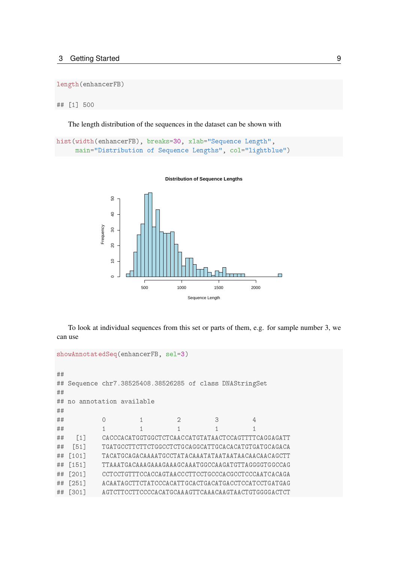length(enhancerFB)

## [1] 500

The length distribution of the sequences in the dataset can be shown with

```
hist(width(enhancerFB), breaks=30, xlab="Sequence Length",
     main="Distribution of Sequence Lengths", col="lightblue")
```


**Distribution of Sequence Lengths**

To look at individual sequences from this set or parts of them, e.g. for sample number 3, we can use

```
showAnnotatedSeq(enhancerFB, sel=3)
##
## Sequence chr7.38525408.38526285 of class DNAStringSet
##
## no annotation available
##
## 0 1 2 3 4
## 1 1 1 1 1
## [1] CACCCACATGGTGGCTCTCAACCATGTATAACTCCAGTTTTCAGGAGATT
## [51] TGATGCCTTCTTCTGGCCTCTGCAGGCATTGCACACATGTGATGCAGACA
## [101] TACATGCAGACAAAATGCCTATACAAATATAATAATAACAACAACAGCTT
## [151] TTAAATGACAAAGAAAGAAAGCAAATGGCCAAGATGTTAGGGGTGGCCAG
## [201] CCTCCTGTTTCCACCAGTAACCCTTCCTGCCCACGCCTCCCAATCACAGA
## [251] ACAATAGCTTCTATCCCACATTGCACTGACATGACCTCCATCCTGATGAG
## [301] AGTCTTCCTTCCCCACATGCAAAGTTCAAACAAGTAACTGTGGGGACTCT
```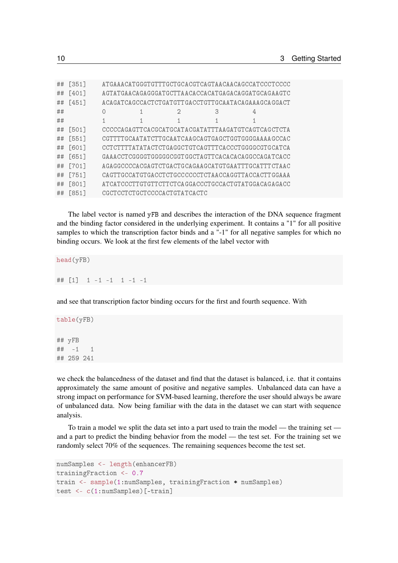| ## | $[351]$      |                              |   |   |                                                             |
|----|--------------|------------------------------|---|---|-------------------------------------------------------------|
| ## | [401]        |                              |   |   | AGTA TGA ACAGAGGG A TGCTTA ACACCACATG AGACAGG A TGCAGA AGTC |
| ## | [451]        |                              |   |   | ACAGATCAGCCACTCTGATGTTGACCTGTTGCAATACAGAAAGCAGGACT          |
| ## |              | O                            | 2 | 3 | 4                                                           |
| ## |              |                              |   |   |                                                             |
| ## | [501]        |                              |   |   |                                                             |
| ## | $[551]$      |                              |   |   | CGTTTTGCAATATCTTGCAATCAAGCAGTGAGCTGGTGGGGAAAAGCCAC          |
| ## | f601         |                              |   |   | CCTCTTTTATATACTCTGAGGCTGTCAGTTTCACCCTGGGGCGTGCATCA          |
| ## | $f651]$      |                              |   |   | GAAACCTCGGGGTGGGGGCGGTGGCTAGTTCACACACAGGCCAGATCACC          |
| ## | <b>F7011</b> |                              |   |   | AGAGGCCCCACGAGTCTGACTGCAGAAGCATGTGAATTTGCATTTCTAAC          |
| ## | $[751]$      |                              |   |   | CAGTTGCCATGTGACCTCTGCCCCCCTCTAACCAGGTTACCACTTGGAAA          |
| ## | [801]        |                              |   |   | ATCATCCCTTGTGTTCTTCTCAGGACCCTGCCACTGTATGGACAGAGACC          |
| ## | <b>18511</b> | CGCTCCTCTGCTCCCCACTGTATCACTC |   |   |                                                             |

The label vector is named yFB and describes the interaction of the DNA sequence fragment and the binding factor considered in the underlying experiment. It contains a "1" for all positive samples to which the transcription factor binds and a "-1" for all negative samples for which no binding occurs. We look at the first few elements of the label vector with

head(yFB)

```
## [1] 1 -1 -1 1 -1 -1
```
and see that transcription factor binding occurs for the first and fourth sequence. With

table(yFB) ## yFB  $##$   $-1$  1 ## 259 241

we check the balancedness of the dataset and find that the dataset is balanced, i.e. that it contains approximately the same amount of positive and negative samples. Unbalanced data can have a strong impact on performance for SVM-based learning, therefore the user should always be aware of unbalanced data. Now being familiar with the data in the dataset we can start with sequence analysis.

To train a model we split the data set into a part used to train the model — the training set and a part to predict the binding behavior from the model — the test set. For the training set we randomly select 70% of the sequences. The remaining sequences become the test set.

```
numSamples <- length(enhancerFB)
trainingFraction <- 0.7
train <- sample(1:numSamples, trainingFraction * numSamples)
test <- c(1:numSamples)[-train]
```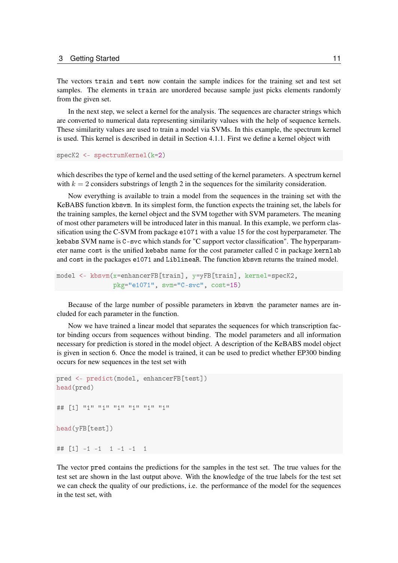The vectors train and test now contain the sample indices for the training set and test set samples. The elements in train are unordered because sample just picks elements randomly from the given set.

In the next step, we select a kernel for the analysis. The sequences are character strings which are converted to numerical data representing similarity values with the help of sequence kernels. These similarity values are used to train a model via SVMs. In this example, the spectrum kernel is used. This kernel is described in detail in Section [4.1.1.](#page-15-0) First we define a kernel object with

```
specK2 <- spectrumKernel(k=2)
```
which describes the type of kernel and the used setting of the kernel parameters. A spectrum kernel with  $k = 2$  considers substrings of length 2 in the sequences for the similarity consideration.

Now everything is available to train a model from the sequences in the training set with the KeBABS function kbsvm. In its simplest form, the function expects the training set, the labels for the training samples, the kernel object and the SVM together with SVM parameters. The meaning of most other parameters will be introduced later in this manual. In this example, we perform classification using the C-SVM from package e1071 with a value 15 for the cost hyperparameter. The kebabs SVM name is C-svc which stands for "C support vector classification". The hyperparameter name cost is the unified kebabs name for the cost parameter called C in package kernlab and cost in the packages e1071 and LiblineaR. The function kbsvm returns the trained model.

```
model <- kbsvm(x=enhancerFB[train], y=yFB[train], kernel=specK2,
               pkg="e1071", svm="C-svc", cost=15)
```
Because of the large number of possible parameters in kbsvm the parameter names are included for each parameter in the function.

Now we have trained a linear model that separates the sequences for which transcription factor binding occurs from sequences without binding. The model parameters and all information necessary for prediction is stored in the model object. A description of the KeBABS model object is given in section [6.](#page-45-0) Once the model is trained, it can be used to predict whether EP300 binding occurs for new sequences in the test set with

```
pred <- predict(model, enhancerFB[test])
head(pred)
## [1] "1" "1" "1" "1" "1" "1" "1"
head(yFB[test])
## [1] -1 -1 1 -1 -1 1
```
The vector pred contains the predictions for the samples in the test set. The true values for the test set are shown in the last output above. With the knowledge of the true labels for the test set we can check the quality of our predictions, i.e. the performance of the model for the sequences in the test set, with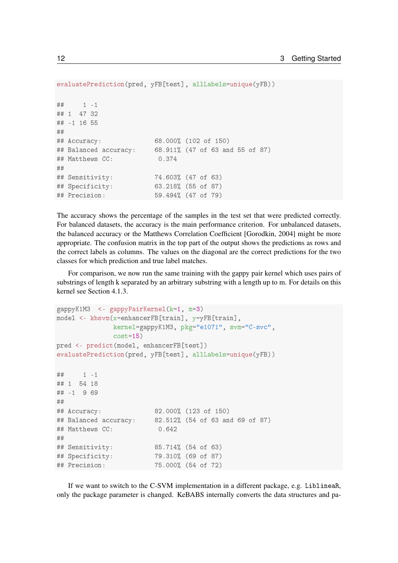```
evaluatePrediction(pred, yFB[test], allLabels=unique(yFB))
## 1 -1
## 1 47 32
## -1 16 55
##
## Accuracy: 68.000% (102 of 150)
## Balanced accuracy: 68.911% (47 of 63 and 55 of 87)
## Matthews CC: 0.374
##
## Sensitivity: 74.603% (47 of 63)
## Specificity: 63.218% (55 of 87)
## Precision: 59.494% (47 of 79)
```
The accuracy shows the percentage of the samples in the test set that were predicted correctly. For balanced datasets, the accuracy is the main performance criterion. For unbalanced datasets, the balanced accuracy or the Matthews Correlation Coefficient [\[Gorodkin, 2004\]](#page-72-11) might be more appropriate. The confusion matrix in the top part of the output shows the predictions as rows and the correct labels as columns. The values on the diagonal are the correct predictions for the two classes for which prediction and true label matches.

For comparison, we now run the same training with the gappy pair kernel which uses pairs of substrings of length k separated by an arbitrary substring with a length up to m. For details on this kernel see Section [4.1.3.](#page-17-1)

```
gappyK1M3 <- gappyPairKernel(k=1, m=3)
model <- kbsvm(x=enhancerFB[train], y=yFB[train],
             kernel=gappyK1M3, pkg="e1071", svm="C-svc",
             cost=15)
pred <- predict(model, enhancerFB[test])
evaluatePrediction(pred, yFB[test], allLabels=unique(yFB))
## 1 -1## 1 54 18
## -1 9 69
##
## Accuracy: 82.000% (123 of 150)
## Balanced accuracy: 82.512% (54 of 63 and 69 of 87)
## Matthews CC: 0.642
##
## Sensitivity: 85.714% (54 of 63)
## Specificity: 79.310% (69 of 87)
## Precision: 75.000% (54 of 72)
```
If we want to switch to the C-SVM implementation in a different package, e.g. LiblineaR, only the package parameter is changed. KeBABS internally converts the data structures and pa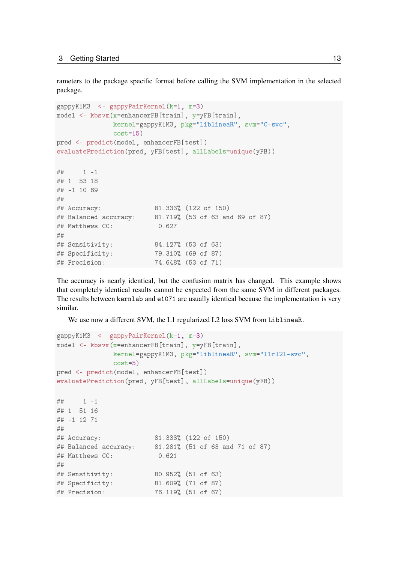rameters to the package specific format before calling the SVM implementation in the selected package.

```
gappyK1M3 <- gappyPairKernel(k=1, m=3)
model <- kbsvm(x=enhancerFB[train], y=yFB[train],
             kernel=gappyK1M3, pkg="LiblineaR", svm="C-svc",
             cost=15)
pred <- predict(model, enhancerFB[test])
evaluatePrediction(pred, yFB[test], allLabels=unique(yFB))
## 1 -1
## 1 53 18
## -1 10 69
##
## Accuracy: 81.333% (122 of 150)
## Balanced accuracy: 81.719% (53 of 63 and 69 of 87)
## Matthews CC: 0.627
##
## Sensitivity: 84.127% (53 of 63)
## Specificity: 79.310% (69 of 87)
## Precision: 74.648% (53 of 71)
```
The accuracy is nearly identical, but the confusion matrix has changed. This example shows that completely identical results cannot be expected from the same SVM in different packages. The results between kernlab and e1071 are usually identical because the implementation is very similar.

We use now a different SVM, the L1 regularized L2 loss SVM from LiblineaR.

```
gappyK1M3 <- gappyPairKernel(k=1, m=3)
model <- kbsvm(x=enhancerFB[train], y=yFB[train],
             kernel=gappyK1M3, pkg="LiblineaR", svm="l1rl2l-svc",
             cost=5)
pred <- predict(model, enhancerFB[test])
evaluatePrediction(pred, yFB[test], allLabels=unique(yFB))
## 1 -1## 1 51 16
## -1 12 71
##
## Accuracy: 81.333% (122 of 150)
## Balanced accuracy: 81.281% (51 of 63 and 71 of 87)
## Matthews CC: 0.621
##
## Sensitivity: 80.952% (51 of 63)
## Specificity: 81.609% (71 of 87)
## Precision: 76.119% (51 of 67)
```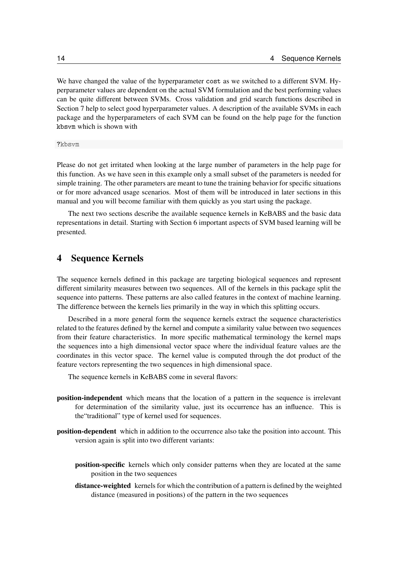We have changed the value of the hyperparameter cost as we switched to a different SVM. Hyperparameter values are dependent on the actual SVM formulation and the best performing values can be quite different between SVMs. Cross validation and grid search functions described in Section [7](#page-48-0) help to select good hyperparameter values. A description of the available SVMs in each package and the hyperparameters of each SVM can be found on the help page for the function kbsvm which is shown with

?kbsvm

Please do not get irritated when looking at the large number of parameters in the help page for this function. As we have seen in this example only a small subset of the parameters is needed for simple training. The other parameters are meant to tune the training behavior for specific situations or for more advanced usage scenarios. Most of them will be introduced in later sections in this manual and you will become familiar with them quickly as you start using the package.

The next two sections describe the available sequence kernels in KeBABS and the basic data representations in detail. Starting with Section [6](#page-45-0) important aspects of SVM based learning will be presented.

## <span id="page-13-0"></span>4 Sequence Kernels

The sequence kernels defined in this package are targeting biological sequences and represent different similarity measures between two sequences. All of the kernels in this package split the sequence into patterns. These patterns are also called features in the context of machine learning. The difference between the kernels lies primarily in the way in which this splitting occurs.

Described in a more general form the sequence kernels extract the sequence characteristics related to the features defined by the kernel and compute a similarity value between two sequences from their feature characteristics. In more specific mathematical terminology the kernel maps the sequences into a high dimensional vector space where the individual feature values are the coordinates in this vector space. The kernel value is computed through the dot product of the feature vectors representing the two sequences in high dimensional space.

The sequence kernels in KeBABS come in several flavors:

- position-independent which means that the location of a pattern in the sequence is irrelevant for determination of the similarity value, just its occurrence has an influence. This is the"traditional" type of kernel used for sequences.
- position-dependent which in addition to the occurrence also take the position into account. This version again is split into two different variants:
	- position-specific kernels which only consider patterns when they are located at the same position in the two sequences
	- distance-weighted kernels for which the contribution of a pattern is defined by the weighted distance (measured in positions) of the pattern in the two sequences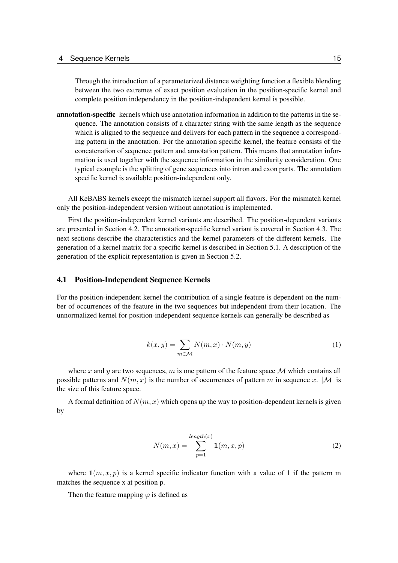Through the introduction of a parameterized distance weighting function a flexible blending between the two extremes of exact position evaluation in the position-specific kernel and complete position independency in the position-independent kernel is possible.

annotation-specific kernels which use annotation information in addition to the patterns in the sequence. The annotation consists of a character string with the same length as the sequence which is aligned to the sequence and delivers for each pattern in the sequence a corresponding pattern in the annotation. For the annotation specific kernel, the feature consists of the concatenation of sequence pattern and annotation pattern. This means that annotation information is used together with the sequence information in the similarity consideration. One typical example is the splitting of gene sequences into intron and exon parts. The annotation specific kernel is available position-independent only.

All KeBABS kernels except the mismatch kernel support all flavors. For the mismatch kernel only the position-independent version without annotation is implemented.

First the position-independent kernel variants are described. The position-dependent variants are presented in Section [4.2.](#page-18-1) The annotation-specific kernel variant is covered in Section [4.3.](#page-25-0) The next sections describe the characteristics and the kernel parameters of the different kernels. The generation of a kernel matrix for a specific kernel is described in Section [5.1.](#page-37-0) A description of the generation of the explicit representation is given in Section [5.2.](#page-39-0)

### <span id="page-14-0"></span>4.1 Position-Independent Sequence Kernels

For the position-independent kernel the contribution of a single feature is dependent on the number of occurrences of the feature in the two sequences but independent from their location. The unnormalized kernel for position-independent sequence kernels can generally be described as

$$
k(x,y) = \sum_{m \in \mathcal{M}} N(m,x) \cdot N(m,y) \tag{1}
$$

where x and y are two sequences, m is one pattern of the feature space M which contains all possible patterns and  $N(m, x)$  is the number of occurrences of pattern m in sequence x. |M| is the size of this feature space.

A formal definition of  $N(m, x)$  which opens up the way to position-dependent kernels is given by

$$
N(m,x) = \sum_{p=1}^{\text{length}(x)} \mathbf{1}(m,x,p) \tag{2}
$$

where  $\mathbf{1}(m, x, p)$  is a kernel specific indicator function with a value of 1 if the pattern m matches the sequence x at position p.

Then the feature mapping  $\varphi$  is defined as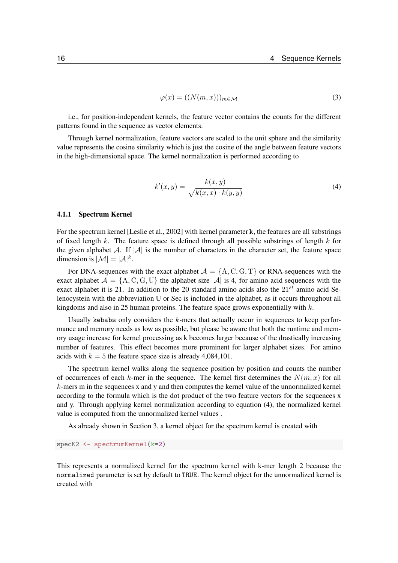$$
\varphi(x) = ((N(m, x)))_{m \in \mathcal{M}} \tag{3}
$$

i.e., for position-independent kernels, the feature vector contains the counts for the different patterns found in the sequence as vector elements.

Through kernel normalization, feature vectors are scaled to the unit sphere and the similarity value represents the cosine similarity which is just the cosine of the angle between feature vectors in the high-dimensional space. The kernel normalization is performed according to

<span id="page-15-1"></span>
$$
k'(x,y) = \frac{k(x,y)}{\sqrt{k(x,x) \cdot k(y,y)}}
$$
\n(4)

### <span id="page-15-0"></span>4.1.1 Spectrum Kernel

For the spectrum kernel [\[Leslie et al., 2002\]](#page-72-3) with kernel parameter k, the features are all substrings of fixed length k. The feature space is defined through all possible substrings of length  $k$  for the given alphabet A. If  $|\mathcal{A}|$  is the number of characters in the character set, the feature space dimension is  $|\mathcal{M}| = |\mathcal{A}|^k$ .

For DNA-sequences with the exact alphabet  $\mathcal{A} = \{A, C, G, T\}$  or RNA-sequences with the exact alphabet  $\mathcal{A} = \{A, C, G, U\}$  the alphabet size  $|\mathcal{A}|$  is 4, for amino acid sequences with the exact alphabet it is 21. In addition to the 20 standard amino acids also the  $21^{st}$  amino acid Selenocystein with the abbreviation U or Sec is included in the alphabet, as it occurs throughout all kingdoms and also in 25 human proteins. The feature space grows exponentially with  $k$ .

Usually kebabs only considers the  $k$ -mers that actually occur in sequences to keep performance and memory needs as low as possible, but please be aware that both the runtime and memory usage increase for kernel processing as k becomes larger because of the drastically increasing number of features. This effect becomes more prominent for larger alphabet sizes. For amino acids with  $k = 5$  the feature space size is already 4,084,101.

The spectrum kernel walks along the sequence position by position and counts the number of occurrences of each k-mer in the sequence. The kernel first determines the  $N(m, x)$  for all  $k$ -mers m in the sequences x and y and then computes the kernel value of the unnormalized kernel according to the formula which is the dot product of the two feature vectors for the sequences x and y. Through applying kernel normalization according to equation [\(4\)](#page-15-1), the normalized kernel value is computed from the unnormalized kernel values .

As already shown in Section [3,](#page-6-3) a kernel object for the spectrum kernel is created with

```
specK2 <- spectrumKernel(k=2)
```
This represents a normalized kernel for the spectrum kernel with k-mer length 2 because the normalized parameter is set by default to TRUE. The kernel object for the unnormalized kernel is created with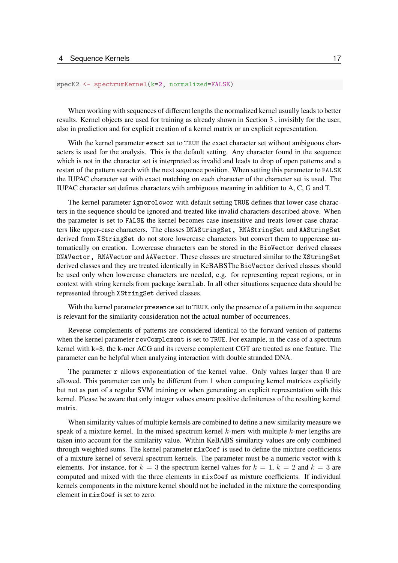#### specK2 <- spectrumKernel(k=2, normalized=FALSE)

When working with sequences of different lengths the normalized kernel usually leads to better results. Kernel objects are used for training as already shown in Section [3](#page-6-3) , invisibly for the user, also in prediction and for explicit creation of a kernel matrix or an explicit representation.

With the kernel parameter exact set to TRUE the exact character set without ambiguous characters is used for the analysis. This is the default setting. Any character found in the sequence which is not in the character set is interpreted as invalid and leads to drop of open patterns and a restart of the pattern search with the next sequence position. When setting this parameter to FALSE the IUPAC character set with exact matching on each character of the character set is used. The IUPAC character set defines characters with ambiguous meaning in addition to A, C, G and T.

The kernel parameter ignoreLower with default setting TRUE defines that lower case characters in the sequence should be ignored and treated like invalid characters described above. When the parameter is set to FALSE the kernel becomes case insensitive and treats lower case characters like upper-case characters. The classes DNAStringSet, RNAStringSet and AAStringSet derived from XStringSet do not store lowercase characters but convert them to uppercase automatically on creation. Lowercase characters can be stored in the BioVector derived classes DNAVector, RNAVector and AAVector. These classes are structured similar to the XStringSet derived classes and they are treated identically in KeBABSThe BioVector derived classes should be used only when lowercase characters are needed, e.g. for representing repeat regions, or in context with string kernels from package kernlab. In all other situations sequence data should be represented through XStringSet derived classes.

With the kernel parameter presence set to TRUE, only the presence of a pattern in the sequence is relevant for the similarity consideration not the actual number of occurrences.

Reverse complements of patterns are considered identical to the forward version of patterns when the kernel parameter revComplement is set to TRUE. For example, in the case of a spectrum kernel with k=3, the k-mer ACG and its reverse complement CGT are treated as one feature. The parameter can be helpful when analyzing interaction with double stranded DNA.

The parameter r allows exponentiation of the kernel value. Only values larger than 0 are allowed. This parameter can only be different from 1 when computing kernel matrices explicitly but not as part of a regular SVM training or when generating an explicit representation with this kernel. Please be aware that only integer values ensure positive definiteness of the resulting kernel matrix.

When similarity values of multiple kernels are combined to define a new similarity measure we speak of a mixture kernel. In the mixed spectrum kernel  $k$ -mers with multiple  $k$ -mer lengths are taken into account for the similarity value. Within KeBABS similarity values are only combined through weighted sums. The kernel parameter mixCoef is used to define the mixture coefficients of a mixture kernel of several spectrum kernels. The parameter must be a numeric vector with k elements. For instance, for  $k = 3$  the spectrum kernel values for  $k = 1$ ,  $k = 2$  and  $k = 3$  are computed and mixed with the three elements in mixCoef as mixture coefficients. If individual kernels components in the mixture kernel should not be included in the mixture the corresponding element in mixCoef is set to zero.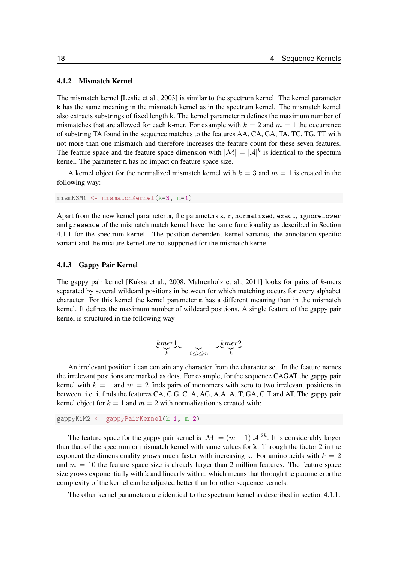### <span id="page-17-0"></span>4.1.2 Mismatch Kernel

The mismatch kernel [\[Leslie et al., 2003\]](#page-72-4) is similar to the spectrum kernel. The kernel parameter k has the same meaning in the mismatch kernel as in the spectrum kernel. The mismatch kernel also extracts substrings of fixed length k. The kernel parameter m defines the maximum number of mismatches that are allowed for each k-mer. For example with  $k = 2$  and  $m = 1$  the occurrence of substring TA found in the sequence matches to the features AA, CA, GA, TA, TC, TG, TT with not more than one mismatch and therefore increases the feature count for these seven features. The feature space and the feature space dimension with  $|M| = |A|^k$  is identical to the spectum kernel. The parameter m has no impact on feature space size.

A kernel object for the normalized mismatch kernel with  $k = 3$  and  $m = 1$  is created in the following way:

```
mismK3M1 <- mismatchKernel(k=3, m=1)
```
Apart from the new kernel parameter m, the parameters k, r, normalized, exact, ignoreLower and presence of the mismatch match kernel have the same functionality as described in Section [4.1.1](#page-15-0) for the spectrum kernel. The position-dependent kernel variants, the annotation-specific variant and the mixture kernel are not supported for the mismatch kernel.

### <span id="page-17-1"></span>4.1.3 Gappy Pair Kernel

The gappy pair kernel [\[Kuksa et al., 2008,](#page-72-5) [Mahrenholz et al., 2011\]](#page-72-12) looks for pairs of  $k$ -mers separated by several wildcard positions in between for which matching occurs for every alphabet character. For this kernel the kernel parameter m has a different meaning than in the mismatch kernel. It defines the maximum number of wildcard positions. A single feature of the gappy pair kernel is structured in the following way

$$
\underbrace{kmer1}_{k} \underbrace{\ldots \ldots \ldots}_{0 \leq i \leq m} \underbrace{kmer2}_{k}
$$

An irrelevant position i can contain any character from the character set. In the feature names the irrelevant positions are marked as dots. For example, for the sequence CAGAT the gappy pair kernel with  $k = 1$  and  $m = 2$  finds pairs of monomers with zero to two irrelevant positions in between. i.e. it finds the features CA, C.G, C..A, AG, A.A, A..T, GA, G.T and AT. The gappy pair kernel object for  $k = 1$  and  $m = 2$  with normalization is created with:

```
gappyK1M2 <- gappyPairKernel(k=1, m=2)
```
The feature space for the gappy pair kernel is  $|\mathcal{M}| = (m+1)|\mathcal{A}|^{2k}$ . It is considerably larger than that of the spectrum or mismatch kernel with same values for k. Through the factor 2 in the exponent the dimensionality grows much faster with increasing k. For amino acids with  $k = 2$ and  $m = 10$  the feature space size is already larger than 2 million features. The feature space size grows exponentially with k and linearly with m, which means that through the parameter m the complexity of the kernel can be adjusted better than for other sequence kernels.

The other kernel parameters are identical to the spectrum kernel as described in section [4.1.1.](#page-15-0)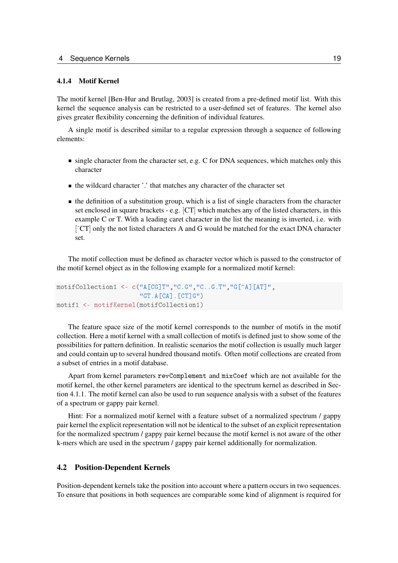#### <span id="page-18-0"></span>4.1.4 Motif Kernel

The motif kernel [\[Ben-Hur and Brutlag, 2003\]](#page-72-6) is created from a pre-defined motif list. With this kernel the sequence analysis can be restricted to a user-defined set of features. The kernel also gives greater flexibility concerning the definition of individual features.

A single motif is described similar to a regular expression through a sequence of following elements:

- $\blacksquare$  single character from the character set, e.g. C for DNA sequences, which matches only this character
- the wildcard character '.' that matches any character of the character set
- $\blacksquare$  the definition of a substitution group, which is a list of single characters from the character set enclosed in square brackets - e.g. [CT] which matches any of the listed characters, in this example C or T. With a leading caret character in the list the meaning is inverted, i.e. with [ˆCT] only the not listed characters A and G would be matched for the exact DNA character set.

The motif collection must be defined as character vector which is passed to the constructor of the motif kernel object as in the following example for a normalized motif kernel:

```
motifCollection1 <- c("A[CG]T","C.G","C..G.T","G[^A][AT]",
                      "GT.A[CA].[CT]G")
motif1 <- motifKernel(motifCollection1)
```
The feature space size of the motif kernel corresponds to the number of motifs in the motif collection. Here a motif kernel with a small collection of motifs is defined just to show some of the possibilities for pattern definition. In realistic scenarios the motif collection is usually much larger and could contain up to several hundred thousand motifs. Often motif collections are created from a subset of entries in a motif database.

Apart from kernel parameters revComplement and mixCoef which are not available for the motif kernel, the other kernel parameters are identical to the spectrum kernel as described in Section [4.1.1.](#page-15-0) The motif kernel can also be used to run sequence analysis with a subset of the features of a spectrum or gappy pair kernel.

Hint: For a normalized motif kernel with a feature subset of a normalized spectrum / gappy pair kernel the explicit representation will not be identical to the subset of an explicit representation for the normalized spectrum / gappy pair kernel because the motif kernel is not aware of the other k-mers which are used in the spectrum / gappy pair kernel additionally for normalization.

### <span id="page-18-1"></span>4.2 Position-Dependent Kernels

Position-dependent kernels take the position into account where a pattern occurs in two sequences. To ensure that positions in both sequences are comparable some kind of alignment is required for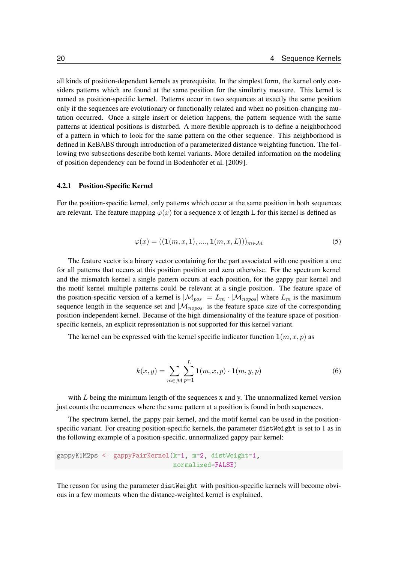all kinds of position-dependent kernels as prerequisite. In the simplest form, the kernel only considers patterns which are found at the same position for the similarity measure. This kernel is named as position-specific kernel. Patterns occur in two sequences at exactly the same position only if the sequences are evolutionary or functionally related and when no position-changing mutation occurred. Once a single insert or deletion happens, the pattern sequence with the same patterns at identical positions is disturbed. A more flexible approach is to define a neighborhood of a pattern in which to look for the same pattern on the other sequence. This neighborhood is defined in KeBABS through introduction of a parameterized distance weighting function. The following two subsections describe both kernel variants. More detailed information on the modeling of position dependency can be found in [Bodenhofer et al.](#page-72-13) [\[2009\]](#page-72-13).

#### <span id="page-19-0"></span>4.2.1 Position-Specific Kernel

For the position-specific kernel, only patterns which occur at the same position in both sequences are relevant. The feature mapping  $\varphi(x)$  for a sequence x of length L for this kernel is defined as

$$
\varphi(x) = ((1(m, x, 1), \dots, 1(m, x, L)))_{m \in \mathcal{M}}
$$
\n(5)

The feature vector is a binary vector containing for the part associated with one position a one for all patterns that occurs at this position position and zero otherwise. For the spectrum kernel and the mismatch kernel a single pattern occurs at each position, for the gappy pair kernel and the motif kernel multiple patterns could be relevant at a single position. The feature space of the position-specific version of a kernel is  $|\mathcal{M}_{pos}| = L_m \cdot |\mathcal{M}_{nopos}|$  where  $L_m$  is the maximum sequence length in the sequence set and  $|\mathcal{M}_{nopos}|$  is the feature space size of the corresponding position-independent kernel. Because of the high dimensionality of the feature space of positionspecific kernels, an explicit representation is not supported for this kernel variant.

The kernel can be expressed with the kernel specific indicator function  $1(m, x, p)$  as

$$
k(x,y) = \sum_{m \in \mathcal{M}} \sum_{p=1}^{L} \mathbf{1}(m,x,p) \cdot \mathbf{1}(m,y,p)
$$
 (6)

with  $L$  being the minimum length of the sequences x and y. The unnormalized kernel version just counts the occurrences where the same pattern at a position is found in both sequences.

The spectrum kernel, the gappy pair kernel, and the motif kernel can be used in the positionspecific variant. For creating position-specific kernels, the parameter distWeight is set to 1 as in the following example of a position-specific, unnormalized gappy pair kernel:

```
gappyK1M2ps <- gappyPairKernel(k=1, m=2, distWeight=1,
                               normalized=FALSE)
```
The reason for using the parameter distWeight with position-specific kernels will become obvious in a few moments when the distance-weighted kernel is explained.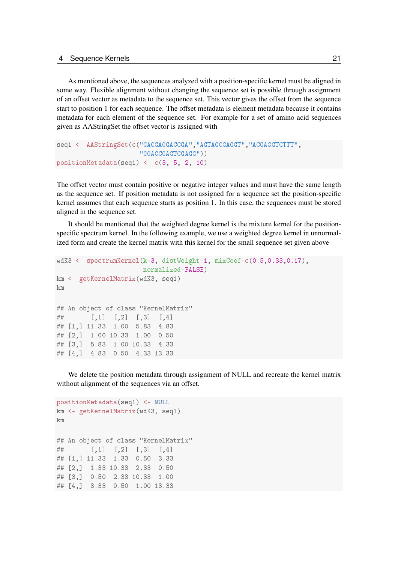As mentioned above, the sequences analyzed with a position-specific kernel must be aligned in some way. Flexible alignment without changing the sequence set is possible through assignment of an offset vector as metadata to the sequence set. This vector gives the offset from the sequence start to position 1 for each sequence. The offset metadata is element metadata because it contains metadata for each element of the sequence set. For example for a set of amino acid sequences given as AAStringSet the offset vector is assigned with

```
seq1 <- AAStringSet(c("GACGAGGACCGA","AGTAGCGAGGT","ACGAGGTCTTT",
                      "GGACCGAGTCGAGG"))
positionMetadata(seq1) <- c(3, 5, 2, 10)
```
The offset vector must contain positive or negative integer values and must have the same length as the sequence set. If position metadata is not assigned for a sequence set the position-specific kernel assumes that each sequence starts as position 1. In this case, the sequences must be stored aligned in the sequence set.

It should be mentioned that the weighted degree kernel is the mixture kernel for the positionspecific spectrum kernel. In the following example, we use a weighted degree kernel in unnormalized form and create the kernel matrix with this kernel for the small sequence set given above

```
wdK3 \leq spectrumKernel(k=3, distWeight=1, mixCoef=c(0.5,0.33,0.17),
                      normalized=FALSE)
km <- getKernelMatrix(wdK3, seq1)
km
## An object of class "KernelMatrix"
## [,1] [,2] [,3] [,4]
## [1,] 11.33 1.00 5.83 4.83
## [2,] 1.00 10.33 1.00 0.50
## [3,] 5.83 1.00 10.33 4.33
## [4,] 4.83 0.50 4.33 13.33
```
We delete the position metadata through assignment of NULL and recreate the kernel matrix without alignment of the sequences via an offset.

```
positionMetadata(seq1) <- NULL
km <- getKernelMatrix(wdK3, seq1)
km
## An object of class "KernelMatrix"
## [,1] [,2] [,3] [,4]
## [1,] 11.33 1.33 0.50 3.33
## [2,] 1.33 10.33 2.33 0.50
## [3,] 0.50 2.33 10.33 1.00
## [4,] 3.33 0.50 1.00 13.33
```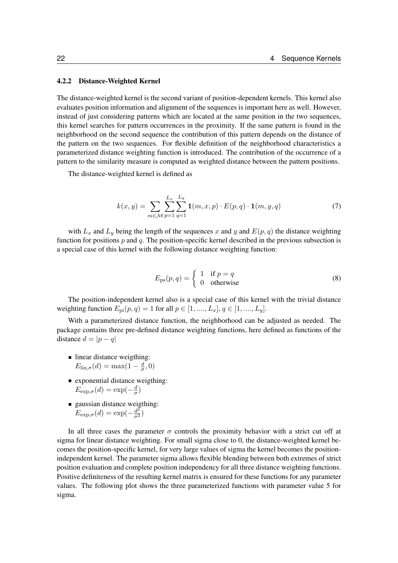#### <span id="page-21-0"></span>4.2.2 Distance-Weighted Kernel

The distance-weighted kernel is the second variant of position-dependent kernels. This kernel also evaluates position information and alignment of the sequences is important here as well. However, instead of just considering patterns which are located at the same position in the two sequences, this kernel searches for pattern occurrences in the proximity. If the same pattern is found in the neighborhood on the second sequence the contribution of this pattern depends on the distance of the pattern on the two sequences. For flexible definition of the neighborhood characteristics a parameterized distance weighting function is introduced. The contribution of the occurrence of a pattern to the similarity measure is computed as weighted distance between the pattern positions.

The distance-weighted kernel is defined as

$$
k(x,y) = \sum_{m \in \mathcal{M}} \sum_{p=1}^{L_x} \sum_{q=1}^{L_y} \mathbf{1}(m, x, p) \cdot E(p, q) \cdot \mathbf{1}(m, y, q)
$$
(7)

with  $L_x$  and  $L_y$  being the length of the sequences x and y and  $E(p, q)$  the distance weighting function for positions  $p$  and  $q$ . The position-specific kernel described in the previous subsection is a special case of this kernel with the following distance weighting function:

$$
E_{\rm ps}(p,q) = \begin{cases} 1 & \text{if } p = q \\ 0 & \text{otherwise} \end{cases}
$$
 (8)

The position-independent kernel also is a special case of this kernel with the trivial distance weighting function  $E_{\text{pi}}(p, q) = 1$  for all  $p \in [1, ..., L_x], q \in [1, ..., L_y]$ .

With a parameterized distance function, the neighborhood can be adjusted as needed. The package contains three pre-defined distance weighting functions, here defined as functions of the distance  $d = |p - q|$ 

- linear distance weigthing:  $E_{\text{lin},\sigma}(d) = \max(1 - \frac{d}{\sigma})$  $\frac{d}{\sigma}, 0)$
- exponential distance weigthing:  $E_{\exp,\sigma}(d) = \exp(-\frac{d}{\sigma})$  $\frac{d}{\sigma}$
- gaussian distance weigthing:  $E_{\exp,\sigma}(d) = \exp(-\frac{d^2}{\sigma^2})$

In all three cases the parameter  $\sigma$  controls the proximity behavior with a strict cut off at sigma for linear distance weighting. For small sigma close to 0, the distance-weighted kernel becomes the position-specific kernel, for very large values of sigma the kernel becomes the positionindependent kernel. The parameter sigma allows flexible blending between both extremes of strict position evaluation and complete position independency for all three distance weighting functions. Positive definiteness of the resulting kernel matrix is ensured for these functions for any parameter values. The following plot shows the three parameterized functions with parameter value 5 for sigma.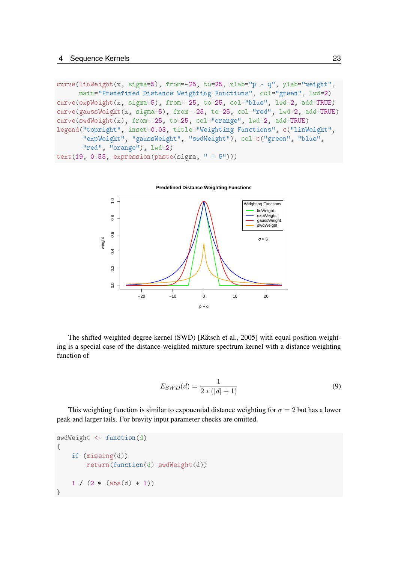```
curve(linWeight(x, sigma=5), from=-25, to=25, xlab="p - q", ylab="weight",
      main="Predefined Distance Weighting Functions", col="green", lwd=2)
curve(expWeight(x, sigma=5), from=-25, to=25, col="blue", lwd=2, add=TRUE)
curve(gaussWeight(x, sigma=5), from=-25, to=25, col="red", lwd=2, add=TRUE)
curve(swdWeight(x), from=-25, to=25, col="orange", lwd=2, add=TRUE)
legend("topright", inset=0.03, title="Weighting Functions", c("linWeight",
       "expWeight", "gaussWeight", "swdWeight"), col=c("green", "blue",
       "red", "orange"), lwd=2)
text(19, 0.55, expression(paste(sigma, " = 5"))
```


The shifted weighted degree kernel (SWD) [\[Rätsch et al., 2005\]](#page-73-0) with equal position weighting is a special case of the distance-weighted mixture spectrum kernel with a distance weighting function of

$$
E_{SWD}(d) = \frac{1}{2 * (|d| + 1)}\tag{9}
$$

This weighting function is similar to exponential distance weighting for  $\sigma = 2$  but has a lower peak and larger tails. For brevity input parameter checks are omitted.

```
swdWeight <- function(d)
{
    if (missing(d))
        return(function(d) swdWeight(d))
    1 / (2 * (abs(d) + 1))}
```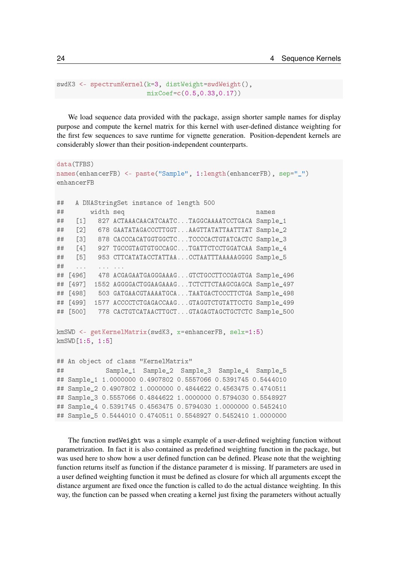```
swdK3 <- spectrumKernel(k=3, distWeight=swdWeight(),
                        mixCoef=c(0.5,0.33,0.17))
```
We load sequence data provided with the package, assign shorter sample names for display purpose and compute the kernel matrix for this kernel with user-defined distance weighting for the first few sequences to save runtime for vignette generation. Position-dependent kernels are considerably slower than their position-independent counterparts.

```
data(TFBS)
names(enhancerFB) <- paste("Sample", 1:length(enhancerFB), sep="_")
enhancerFB
## A DNAStringSet instance of length 500
## width seq names
## [1] 827 ACTAAACAACATCAATC...TAGGCAAAATCCTGACA Sample_1
## [2] 678 GAATATAGACCCTTGGT...AAGTTATATTAATTTAT Sample_2
## [3] 878 CACCCACATGGTGGCTC...TCCCCACTGTATCACTC Sample_3
## [4] 927 TGCCGTAGTGTGCCAGC...TGATTCTCCTGGATCAA Sample_4
## [5] 953 CTTCATATACCTATTAA...CCTAATTTAAAAAGGGG Sample_5
## ... ... ...
## [496] 478 ACGAGAATGAGGGAAAG...GTCTGCCTTCCGAGTGA Sample_496
## [497] 1552 AGGGGACTGGAAGAAAG...TCTCTTCTAAGCGAGCA Sample 497
## [498] 503 GATGAACGTAAAATGCA...TAATGACTCCCTTCTGA Sample_498
## [499] 1577 ACCCCTCTGAGACCAAG...GTAGGTCTGTATTCCTG Sample_499
## [500] 778 CACTGTCATAACTTGCT...GTAGAGTAGCTGCTCTC Sample 500
kmSWD <- getKernelMatrix(swdK3, x=enhancerFB, selx=1:5)
kmSWD[1:5, 1:5]
## An object of class "KernelMatrix"
## Sample_1 Sample_2 Sample_3 Sample_4 Sample_5
## Sample_1 1.0000000 0.4907802 0.5557066 0.5391745 0.5444010
## Sample_2 0.4907802 1.0000000 0.4844622 0.4563475 0.4740511
## Sample_3 0.5557066 0.4844622 1.0000000 0.5794030 0.5548927
## Sample 4 0.5391745 0.4563475 0.5794030 1.0000000 0.5452410
## Sample_5 0.5444010 0.4740511 0.5548927 0.5452410 1.0000000
```
The function swdWeight was a simple example of a user-defined weighting function without parametrization. In fact it is also contained as predefined weighting function in the package, but was used here to show how a user defined function can be defined. Please note that the weighting function returns itself as function if the distance parameter d is missing. If parameters are used in a user defined weighting function it must be defined as closure for which all arguments except the distance argument are fixed once the function is called to do the actual distance weighting. In this way, the function can be passed when creating a kernel just fixing the parameters without actually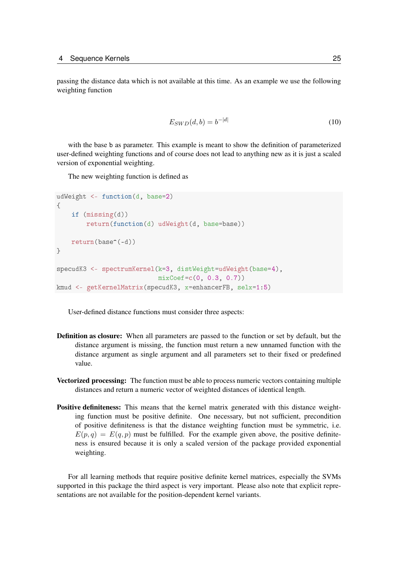passing the distance data which is not available at this time. As an example we use the following weighting function

$$
E_{SWD}(d, b) = b^{-|d|} \tag{10}
$$

with the base b as parameter. This example is meant to show the definition of parameterized user-defined weighting functions and of course does not lead to anything new as it is just a scaled version of exponential weighting.

The new weighting function is defined as

```
udWeight <- function(d, base=2)
{
    if (missing(d))
        return(function(d) udWeight(d, base=base))
    return(base^(-d))
}
specudK3 <- spectrumKernel(k=3, distWeight=udWeight(base=4),
                           mixCoef=c(0, 0.3, 0.7))
kmud <- getKernelMatrix(specudK3, x=enhancerFB, selx=1:5)
```
User-defined distance functions must consider three aspects:

- Definition as closure: When all parameters are passed to the function or set by default, but the distance argument is missing, the function must return a new unnamed function with the distance argument as single argument and all parameters set to their fixed or predefined value.
- Vectorized processing: The function must be able to process numeric vectors containing multiple distances and return a numeric vector of weighted distances of identical length.
- Positive definiteness: This means that the kernel matrix generated with this distance weighting function must be positive definite. One necessary, but not sufficient, precondition of positive definiteness is that the distance weighting function must be symmetric, i.e.  $E(p, q) = E(q, p)$  must be fulfilled. For the example given above, the positive definiteness is ensured because it is only a scaled version of the package provided exponential weighting.

For all learning methods that require positive definite kernel matrices, especially the SVMs supported in this package the third aspect is very important. Please also note that explicit representations are not available for the position-dependent kernel variants.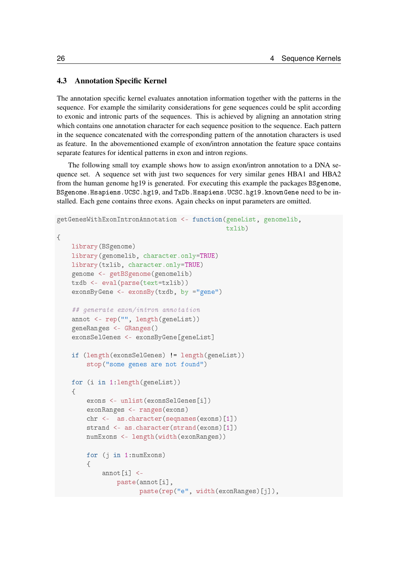### <span id="page-25-0"></span>4.3 Annotation Specific Kernel

The annotation specific kernel evaluates annotation information together with the patterns in the sequence. For example the similarity considerations for gene sequences could be split according to exonic and intronic parts of the sequences. This is achieved by aligning an annotation string which contains one annotation character for each sequence position to the sequence. Each pattern in the sequence concatenated with the corresponding pattern of the annotation characters is used as feature. In the abovementioned example of exon/intron annotation the feature space contains separate features for identical patterns in exon and intron regions.

The following small toy example shows how to assign exon/intron annotation to a DNA sequence set. A sequence set with just two sequences for very similar genes HBA1 and HBA2 from the human genome hg19 is generated. For executing this example the packages BSgenome, BSgenome.Hsapiens.UCSC.hg19, and TxDb.Hsapiens.UCSC.hg19.knownGene need to be installed. Each gene contains three exons. Again checks on input parameters are omitted.

```
getGenesWithExonIntronAnnotation <- function(geneList, genomelib,
                                              txlib)
{
    library(BSgenome)
    library(genomelib, character.only=TRUE)
    library(txlib, character.only=TRUE)
    genome <- getBSgenome(genomelib)
    txdb <- eval(parse(text=txlib))
    exonsByGene <- exonsBy(txdb, by ="gene")
    ## generate exon/intron annotation
    annot <- rep("", length(geneList))
    geneRanges <- GRanges()
    exonsSelGenes <- exonsByGene[geneList]
    if (length(exonsSelGenes) != length(geneList))
        stop("some genes are not found")
    for (i in 1:length(geneList))
    {
        exons <- unlist(exonsSelGenes[i])
        exonRanges <- ranges(exons)
        chr <- as.character(seqnames(exons)[1])
        strand <- as.character(strand(exons)[1])
        numExons <- length(width(exonRanges))
        for (j in 1:numExons)
        {
            annot[i] <-
                paste(annot[i],
                      paste(rep("e", width(exonRanges)[j]),
```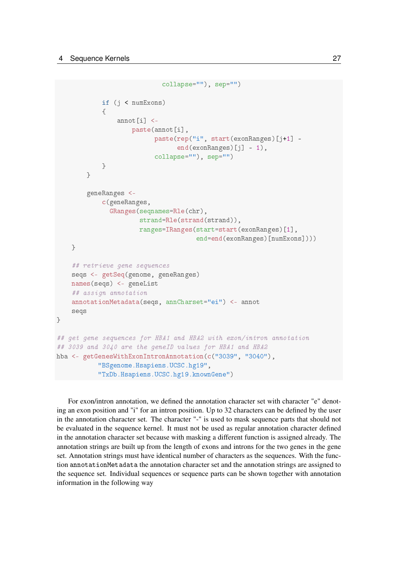```
collapse=""), sep="")
            if (j < numExons)
            {
                annot[i] <-
                    paste(annot[i],
                          paste(rep("i", start(exonRanges)[j+1] -
                                 end(exonRanges)[j] - 1),
                          collapse=""), sep="")
            }
        }
        geneRanges <-
            c(geneRanges,
              GRanges(seqnames=Rle(chr),
                      strand=Rle(strand(strand)),
                      ranges=IRanges(start=start(exonRanges)[1],
                                      end=end(exonRanges)[numExons])))
    }
    ## retrieve gene sequences
    seqs <- getSeq(genome, geneRanges)
    names(seqs) <- geneList
    ## assign annotation
    annotationMetadata(seqs, annCharset="ei") <- annot
    seqs
}
## get gene sequences for HBA1 and HBA2 with exon/intron annotation
## 3039 and 3040 are the geneID values for HBA1 and HBA2
hba <- getGenesWithExonIntronAnnotation(c("3039", "3040"),
           "BSgenome.Hsapiens.UCSC.hg19",
           "TxDb.Hsapiens.UCSC.hg19.knownGene")
```
For exon/intron annotation, we defined the annotation character set with character "e" denoting an exon position and "i" for an intron position. Up to 32 characters can be defined by the user in the annotation character set. The character "-" is used to mask sequence parts that should not be evaluated in the sequence kernel. It must not be used as regular annotation character defined in the annotation character set because with masking a different function is assigned already. The annotation strings are built up from the length of exons and introns for the two genes in the gene set. Annotation strings must have identical number of characters as the sequences. With the function annotationMetadata the annotation character set and the annotation strings are assigned to the sequence set. Individual sequences or sequence parts can be shown together with annotation information in the following way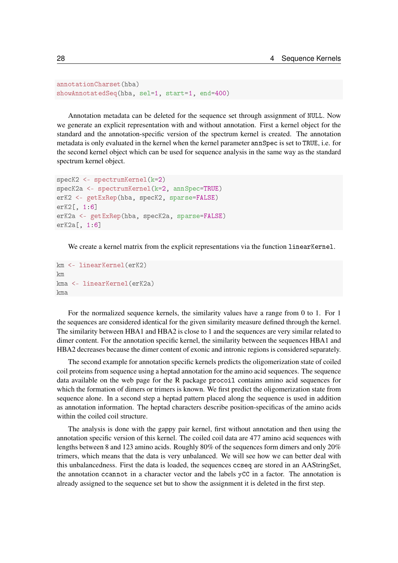```
annotationCharset(hba)
showAnnotatedSeq(hba, sel=1, start=1, end=400)
```
Annotation metadata can be deleted for the sequence set through assignment of NULL. Now we generate an explicit representation with and without annotation. First a kernel object for the standard and the annotation-specific version of the spectrum kernel is created. The annotation metadata is only evaluated in the kernel when the kernel parameter annSpec is set to TRUE, i.e. for the second kernel object which can be used for sequence analysis in the same way as the standard spectrum kernel object.

```
specK2 <- spectrumKernel(k=2)
specK2a <- spectrumKernel(k=2, annSpec=TRUE)
erK2 <- getExRep(hba, specK2, sparse=FALSE)
erK2[, 1:6]
erK2a <- getExRep(hba, specK2a, sparse=FALSE)
erK2a[, 1:6]
```
We create a kernel matrix from the explicit representations via the function linearKernel.

```
km <- linearKernel(erK2)
km
kma <- linearKernel(erK2a)
kma
```
For the normalized sequence kernels, the similarity values have a range from 0 to 1. For 1 the sequences are considered identical for the given similarity measure defined through the kernel. The similarity between HBA1 and HBA2 is close to 1 and the sequences are very similar related to dimer content. For the annotation specific kernel, the similarity between the sequences HBA1 and HBA2 decreases because the dimer content of exonic and intronic regions is considered separately.

The second example for annotation specific kernels predicts the oligomerization state of coiled coil proteins from sequence using a heptad annotation for the amino acid sequences. The sequence data available on the web page for the R package procoil contains amino acid sequences for which the formation of dimers or trimers is known. We first predict the oligomerization state from sequence alone. In a second step a heptad pattern placed along the sequence is used in addition as annotation information. The heptad characters describe position-specificas of the amino acids within the coiled coil structure.

The analysis is done with the gappy pair kernel, first without annotation and then using the annotation specific version of this kernel. The coiled coil data are 477 amino acid sequences with lengths between 8 and 123 amino acids. Roughly 80% of the sequences form dimers and only 20% trimers, which means that the data is very unbalanced. We will see how we can better deal with this unbalancedness. First the data is loaded, the sequences ccseq are stored in an AAStringSet, the annotation ccannot in a character vector and the labels  $\gamma$ CC in a factor. The annotation is already assigned to the sequence set but to show the assignment it is deleted in the first step.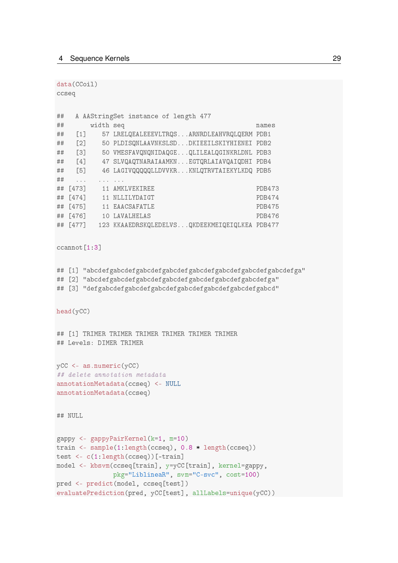data(CCoil) ccseq ## A AAStringSet instance of length 477 ## width seq names ## [1] 57 LRELQEALEEEVLTRQS...ARNRDLEAHVRQLQERM PDB1 ## [2] 50 PLDISQNLAAVNKSLSD...DKIEEILSKIYHIENEI PDB2 ## [3] 50 VMESFAVQNQNIDAQGE...QLILEALQGINKRLDNL PDB3 ## [4] 47 SLVQAQTNARAIAAMKN...EGTQRLAIAVQAIQDHI PDB4 ## [5] 46 LAGIVQQQQQLLDVVKR...KNLQTRVTAIEKYLKDQ PDB5 ## .... ... ... ## [473] 11 AMKLVEKIREE PDB473 ## [474] 11 NLLILYDAIGT PDB474 ## [475] 11 EAACSAFATLE PDB475 ## [476] 10 LAVALHELAS PDB476 ## [477] 123 KKAAEDRSKQLEDELVS...QKDEEKMEIQEIQLKEA PDB477 ccannot<sup>[1:3]</sup> ## [1] "abcdefgabcdefgabcdefgabcdefgabcdefgabcdefgabcdefgad" ## [2] "abcdefgabcdefgabcdefgabcdefgabcdefgabcdefgabcdefga" ## [3] "defgabcdefgabcdefgabcdefgabcdefgabcdefgabcdefgabcd" head(yCC) ## [1] TRIMER TRIMER TRIMER TRIMER TRIMER TRIMER ## Levels: DIMER TRIMER yCC <- as.numeric(yCC) ## delete annotation metadata annotationMetadata(ccseq) <- NULL annotationMetadata(ccseq) ## NULL gappy <- gappyPairKernel(k=1, m=10) train <- sample(1:length(ccseq), 0.8 \* length(ccseq)) test <- c(1:length(ccseq))[-train] model <- kbsvm(ccseq[train], y=yCC[train], kernel=gappy, pkg="LiblineaR", svm="C-svc", cost=100) pred <- predict(model, ccseq[test]) evaluatePrediction(pred, yCC[test], allLabels=unique(yCC))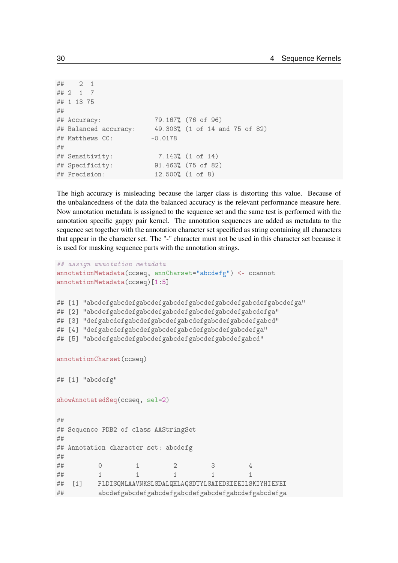```
## 2 1
## 2 1 7
## 1 13 75
##
## Accuracy: 79.167% (76 of 96)
## Balanced accuracy: 49.303% (1 of 14 and 75 of 82)
## Matthews CC: -0.0178
##
## Sensitivity: 7.143% (1 of 14)
## Specificity: 91.463% (75 of 82)
## Precision: 12.500% (1 of 8)
```
The high accuracy is misleading because the larger class is distorting this value. Because of the unbalancedness of the data the balanced accuracy is the relevant performance measure here. Now annotation metadata is assigned to the sequence set and the same test is performed with the annotation specific gappy pair kernel. The annotation sequences are added as metadata to the sequence set together with the annotation character set specified as string containing all characters that appear in the character set. The "-" character must not be used in this character set because it is used for masking sequence parts with the annotation strings.

```
## assign annotation metadata
annotationMetadata(ccseq, annCharset="abcdefg") <- ccannot
annotationMetadata(ccseq)[1:5]
## [1] "abcdefgabcdefgabcdefgabcdefgabcdefgabcdefgabcdefga"
## [2] "abcdefgabcdefgabcdefgabcdefgabcdefgabcdefgabcdefga"
## [3] "defgabcdefgabcdefgabcdefgabcdefgabcdefgabcdefgabcd"
## [4] "defgabcdefgabcdefgabcdefgabcdefgabcdefgabcdefga"
## [5] "abcdefgabcdefgabcdefgabcdefgabcdefgabcdefgabcd"
annotationCharset(ccseq)
## [1] "abcdefg"
showAnnotatedSeq(ccseq, sel=2)
##
## Sequence PDB2 of class AAStringSet
##
## Annotation character set: abcdefg
##
## 0 1 2 3 4
## 1 1 1 1 1
## [1] PLDISQNLAAVNKSLSDALQHLAQSDTYLSAIEDKIEEILSKIYHIENEI
## abcdefgabcdefgabcdefgabcdefgabcdefgabcdefgabcdefga
```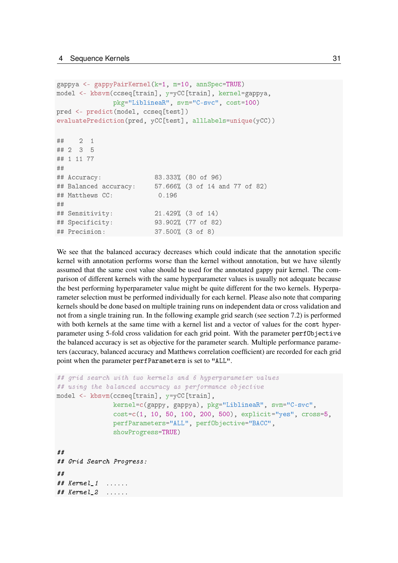```
gappya <- gappyPairKernel(k=1, m=10, annSpec=TRUE)
model <- kbsvm(ccseq[train], y=yCC[train], kernel=gappya,
             pkg="LiblineaR", svm="C-svc", cost=100)
pred <- predict(model, ccseq[test])
evaluatePrediction(pred, yCC[test], allLabels=unique(yCC))
## 2 1
## 2 3 5
## 1 11 77
##
## Accuracy: 83.333% (80 of 96)
## Balanced accuracy: 57.666% (3 of 14 and 77 of 82)
## Matthews CC: 0.196
##
## Sensitivity: 21.429% (3 of 14)
## Specificity: 93.902% (77 of 82)
## Precision: 37.500% (3 of 8)
```
We see that the balanced accuracy decreases which could indicate that the annotation specific kernel with annotation performs worse than the kernel without annotation, but we have silently assumed that the same cost value should be used for the annotated gappy pair kernel. The comparison of different kernels with the same hyperparameter values is usually not adequate because the best performing hyperparameter value might be quite different for the two kernels. Hyperparameter selection must be performed individually for each kernel. Please also note that comparing kernels should be done based on multiple training runs on independent data or cross validation and not from a single training run. In the following example grid search (see section [7.2\)](#page-51-0) is performed with both kernels at the same time with a kernel list and a vector of values for the cost hyperparameter using 5-fold cross validation for each grid point. With the parameter perfObjective the balanced accuracy is set as objective for the parameter search. Multiple performance parameters (accuracy, balanced accuracy and Matthews correlation coefficient) are recorded for each grid point when the parameter perfParameters is set to "ALL".

```
## grid search with two kernels and 6 hyperparameter values
## using the balanced accuracy as performance objective
model <- kbsvm(ccseq[train], y=yCC[train],
               kernel=c(gappy, gappya), pkg="LiblineaR", svm="C-svc",
               cost=c(1, 10, 50, 100, 200, 500), explicit="yes", cross=5,
               perfParameters="ALL", perfObjective="BACC",
               showProgress=TRUE)
##
## Grid Search Progress:
##
## Kernel_1 ......
## Kernel_2 ......
```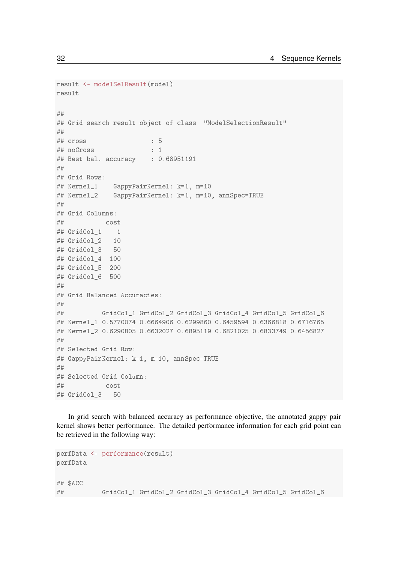```
result <- modelSelResult(model)
result
##
## Grid search result object of class "ModelSelectionResult"
##
## cross : 5
## noCross : 1
## Best bal. accuracy : 0.68951191
##
## Grid Rows:
## Kernel_1 GappyPairKernel: k=1, m=10
## Kernel_2 GappyPairKernel: k=1, m=10, annSpec=TRUE
##
## Grid Columns:
## cost
## GridCol 1 1
## GridCol_2 10
## GridCol_3 50
## GridCol_4 100
## GridCol_5 200
## GridCol_6 500
#H## Grid Balanced Accuracies:
##
## GridCol_1 GridCol_2 GridCol_3 GridCol_4 GridCol_5 GridCol_6
## Kernel 1 0.5770074 0.6664906 0.6299860 0.6459594 0.6366818 0.6716765
## Kernel_2 0.6290805 0.6632027 0.6895119 0.6821025 0.6833749 0.6456827
##
## Selected Grid Row:
## GappyPairKernel: k=1, m=10, annSpec=TRUE
##
## Selected Grid Column:
## cost
## GridCol_3 50
```
In grid search with balanced accuracy as performance objective, the annotated gappy pair kernel shows better performance. The detailed performance information for each grid point can be retrieved in the following way:

```
perfData <- performance(result)
perfData
## $ACC
## GridCol_1 GridCol_2 GridCol_3 GridCol_4 GridCol_5 GridCol_6
```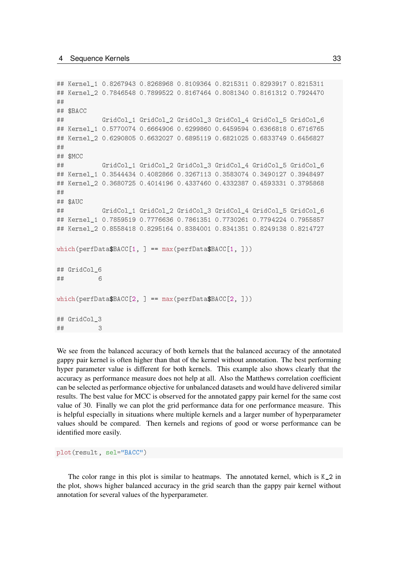```
## Kernel_1 0.8267943 0.8268968 0.8109364 0.8215311 0.8293917 0.8215311
## Kernel_2 0.7846548 0.7899522 0.8167464 0.8081340 0.8161312 0.7924470
### $BACC
## GridCol_1 GridCol_2 GridCol_3 GridCol_4 GridCol_5 GridCol_6
## Kernel_1 0.5770074 0.6664906 0.6299860 0.6459594 0.6366818 0.6716765
## Kernel_2 0.6290805 0.6632027 0.6895119 0.6821025 0.6833749 0.6456827
##
## $MCC
## GridCol_1 GridCol_2 GridCol_3 GridCol_4 GridCol_5 GridCol_6
## Kernel_1 0.3544434 0.4082866 0.3267113 0.3583074 0.3490127 0.3948497
## Kernel 2 0.3680725 0.4014196 0.4337460 0.4332387 0.4593331 0.3795868
##
## $AUC
## GridCol_1 GridCol_2 GridCol_3 GridCol_4 GridCol_5 GridCol_6
## Kernel_1 0.7859519 0.7776636 0.7861351 0.7730261 0.7794224 0.7955857
## Kernel 2 0.8558418 0.8295164 0.8384001 0.8341351 0.8249138 0.8214727
which (perfData$BACC[1, ] == max (perfData$BACC[1, ]))## GridCol_6
## 6
which (perfloata$BACC[2, ] == max (perfloata$BACC[2, ]))## GridCol_3
## 3
```
We see from the balanced accuracy of both kernels that the balanced accuracy of the annotated gappy pair kernel is often higher than that of the kernel without annotation. The best performing hyper parameter value is different for both kernels. This example also shows clearly that the accuracy as performance measure does not help at all. Also the Matthews correlation coefficient can be selected as performance objective for unbalanced datasets and would have delivered similar results. The best value for MCC is observed for the annotated gappy pair kernel for the same cost value of 30. Finally we can plot the grid performance data for one performance measure. This is helpful especially in situations where multiple kernels and a larger number of hyperparameter values should be compared. Then kernels and regions of good or worse performance can be identified more easily.

plot(result, sel="BACC")

The color range in this plot is similar to heatmaps. The annotated kernel, which is K\_2 in the plot, shows higher balanced accuracy in the grid search than the gappy pair kernel without annotation for several values of the hyperparameter.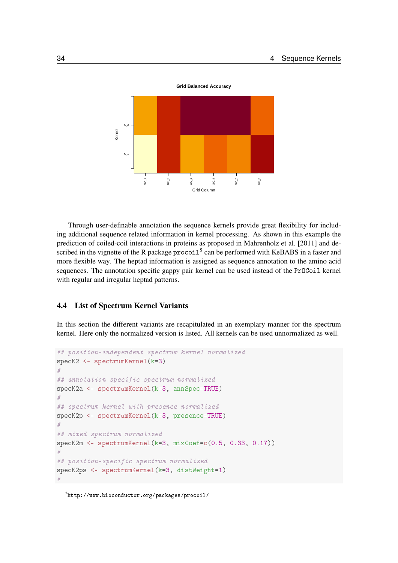

Through user-definable annotation the sequence kernels provide great flexibility for including additional sequence related information in kernel processing. As shown in this example the prediction of coiled-coil interactions in proteins as proposed in [Mahrenholz et al.](#page-72-12) [\[2011\]](#page-72-12) and described in the vignette of the R package  $\text{procoil}^5$  $\text{procoil}^5$  can be performed with KeBABS in a faster and more flexible way. The heptad information is assigned as sequence annotation to the amino acid sequences. The annotation specific gappy pair kernel can be used instead of the PrOCoil kernel with regular and irregular heptad patterns.

## <span id="page-33-0"></span>4.4 List of Spectrum Kernel Variants

In this section the different variants are recapitulated in an exemplary manner for the spectrum kernel. Here only the normalized version is listed. All kernels can be used unnormalized as well.

```
## position-independent spectrum kernel normalized
specK2 <- spectrumKernel(k=3)
#
## annotation specific spectrum normalized
specK2a <- spectrumKernel(k=3, annSpec=TRUE)
#
## spectrum kernel with presence normalized
specK2p <- spectrumKernel(k=3, presence=TRUE)
#
## mixed spectrum normalized
specK2m <- spectrumKernel(k=3, mixCoef=c(0.5, 0.33, 0.17))
#
## position-specific spectrum normalized
specK2ps <- spectrumKernel(k=3, distWeight=1)
#
```
<span id="page-33-1"></span> $^5$ <http://www.bioconductor.org/packages/procoil/>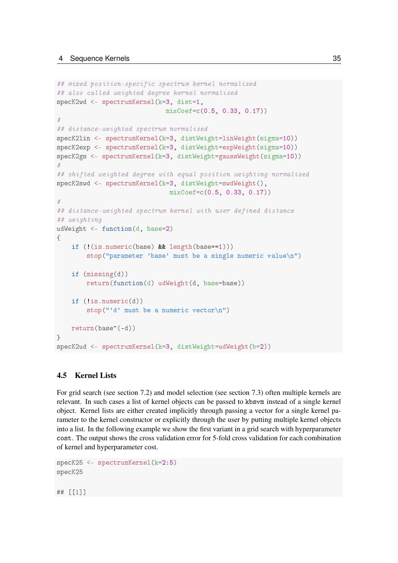```
## mixed position-specific spectrum kernel normalized
## also called weighted degree kernel normalized
specK2wd <- spectrumKernel(k=3, dist=1,
                             mixCoef=c(0.5, 0.33, 0.17))
#
## distance-weighted spectrum normalized
specK2lin <- spectrumKernel(k=3, distWeight=linWeight(sigma=10))
specK2exp <- spectrumKernel(k=3, distWeight=expWeight(sigma=10))
specK2gs <- spectrumKernel(k=3, distWeight=gaussWeight(sigma=10))
#
## shifted weighted degree with equal position weighting normalized
specK2swd <- spectrumKernel(k=3, distWeight=swdWeight(),
                               mixCoef=c(0.5, 0.33, 0.17))
#
## distance-weighted spectrum kernel with user defined distance
## weighting
udWeight <- function(d, base=2)
{
    if (!(is.numeric(base) && length(base==1)))
        stop("parameter 'base' must be a single numeric value\n")
    if (missing(d))
        return(function(d) udWeight(d, base=base))
    if (!is.numeric(d))
        stop("'d' must be a numeric vector\langle n'' \ranglereturn(base^(-d))
}
specK2ud <- spectrumKernel(k=3, distWeight=udWeight(b=2))
```
## <span id="page-34-0"></span>4.5 Kernel Lists

For grid search (see section [7.2\)](#page-51-0) and model selection (see section [7.3\)](#page-54-0) often multiple kernels are relevant. In such cases a list of kernel objects can be passed to kbsvm instead of a single kernel object. Kernel lists are either created implicitly through passing a vector for a single kernel parameter to the kernel constructor or explicitly through the user by putting multiple kernel objects into a list. In the following example we show the first variant in a grid search with hyperparameter cost. The output shows the cross validation error for 5-fold cross validation for each combination of kernel and hyperparameter cost.

```
specK25 <- spectrumKernel(k=2:5)
specK25
## [[1]]
```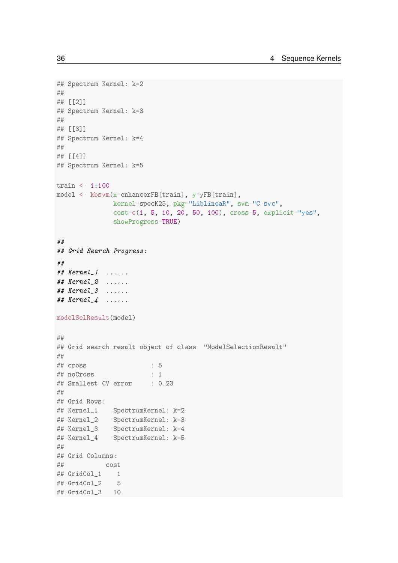```
## Spectrum Kernel: k=2
##
## [[2]]
## Spectrum Kernel: k=3
##
## [[3]]
## Spectrum Kernel: k=4
##
## [[4]]
## Spectrum Kernel: k=5
train <- 1:100
model <- kbsvm(x=enhancerFB[train], y=yFB[train],
             kernel=specK25, pkg="LiblineaR", svm="C-svc",
              cost=c(1, 5, 10, 20, 50, 100), cross=5, explicit="yes",
              showProgress=TRUE)
##
## Grid Search Progress:
##
## Kernel_1 ......
## Kernel_2 ......
## Kernel_3 ......
# Kernel_4 ......
modelSelResult(model)
##
## Grid search result object of class "ModelSelectionResult"
##
## cross : 5
## noCross : 1
## Smallest CV error : 0.23
##
## Grid Rows:
## Kernel_1 SpectrumKernel: k=2
## Kernel_2 SpectrumKernel: k=3
## Kernel_3 SpectrumKernel: k=4
## Kernel_4 SpectrumKernel: k=5
##
## Grid Columns:
## cost
## GridCol_1 1
## GridCol 2 5
## GridCol 3 10
```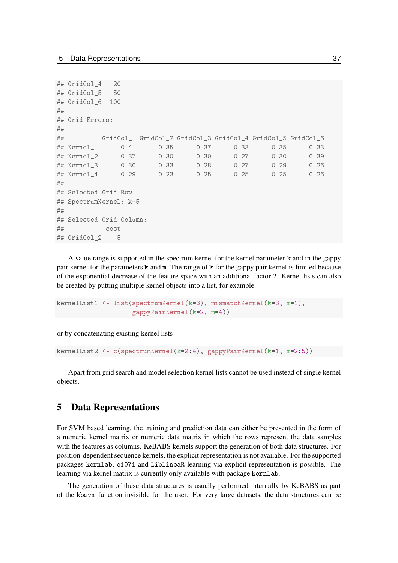```
## GridCol_4 20
## GridCol_5 50
## GridCol_6 100
##
## Grid Errors:
##
## GridCol_1 GridCol_2 GridCol_3 GridCol_4 GridCol_5 GridCol_6
## Kernel_1 0.41 0.35 0.37 0.33 0.35 0.33
## Kernel_2 0.37 0.30 0.30 0.27 0.30 0.39
## Kernel_3 0.30 0.33 0.28 0.27 0.29 0.26
## Kernel_4 0.29 0.23 0.25 0.25 0.25 0.26
##
## Selected Grid Row:
## SpectrumKernel: k=5
##
## Selected Grid Column:
## cost
## GridCol_2 5
```
A value range is supported in the spectrum kernel for the kernel parameter k and in the gappy pair kernel for the parameters k and m. The range of k for the gappy pair kernel is limited because of the exponential decrease of the feature space with an additional factor 2. Kernel lists can also be created by putting multiple kernel objects into a list, for example

```
kernelList1 <- list(spectrumKernel(k=3), mismatchKernel(k=3, m=1),
                    gappyPairKernel(k=2, m=4))
```
or by concatenating existing kernel lists

```
kernelList2 <- c(spectrumKernel(k=2:4), gappyPairKernel(k=1, m=2:5))
```
Apart from grid search and model selection kernel lists cannot be used instead of single kernel objects.

## 5 Data Representations

For SVM based learning, the training and prediction data can either be presented in the form of a numeric kernel matrix or numeric data matrix in which the rows represent the data samples with the features as columns. KeBABS kernels support the generation of both data structures. For position-dependent sequence kernels, the explicit representation is not available. For the supported packages kernlab, e1071 and LiblineaR learning via explicit representation is possible. The learning via kernel matrix is currently only available with package kernlab.

The generation of these data structures is usually performed internally by KeBABS as part of the kbsvm function invisible for the user. For very large datasets, the data structures can be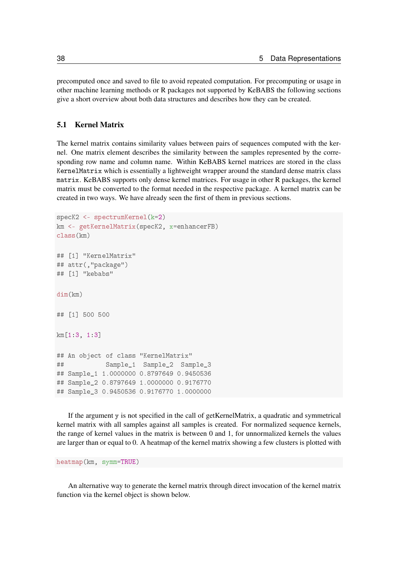precomputed once and saved to file to avoid repeated computation. For precomputing or usage in other machine learning methods or R packages not supported by KeBABS the following sections give a short overview about both data structures and describes how they can be created.

#### 5.1 Kernel Matrix

The kernel matrix contains similarity values between pairs of sequences computed with the kernel. One matrix element describes the similarity between the samples represented by the corresponding row name and column name. Within KeBABS kernel matrices are stored in the class KernelMatrix which is essentially a lightweight wrapper around the standard dense matrix class matrix. KeBABS supports only dense kernel matrices. For usage in other R packages, the kernel matrix must be converted to the format needed in the respective package. A kernel matrix can be created in two ways. We have already seen the first of them in previous sections.

```
specK2 <- spectrumKernel(k=2)
km <- getKernelMatrix(specK2, x=enhancerFB)
class(km)
## [1] "KernelMatrix"
## attr(,"package")
## [1] "kebabs"
dim(km)
## [1] 500 500
km[1:3, 1:3]
## An object of class "KernelMatrix"
## Sample_1 Sample_2 Sample_3
## Sample_1 1.0000000 0.8797649 0.9450536
## Sample_2 0.8797649 1.0000000 0.9176770
## Sample_3 0.9450536 0.9176770 1.0000000
```
If the argument  $y$  is not specified in the call of getKernelMatrix, a quadratic and symmetrical kernel matrix with all samples against all samples is created. For normalized sequence kernels, the range of kernel values in the matrix is between 0 and 1, for unnormalized kernels the values are larger than or equal to 0. A heatmap of the kernel matrix showing a few clusters is plotted with

heatmap(km, symm=TRUE)

An alternative way to generate the kernel matrix through direct invocation of the kernel matrix function via the kernel object is shown below.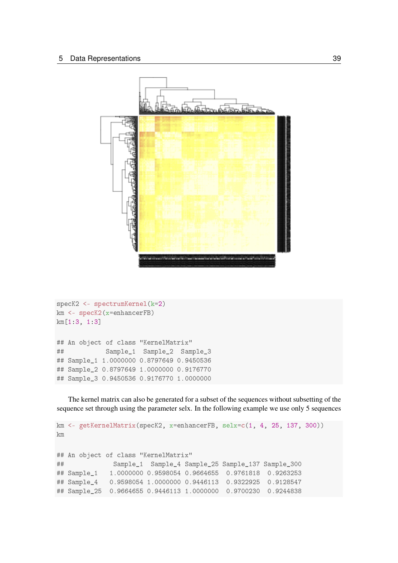

```
specK2 <- spectrumKernel(k=2)
km <- specK2(x=enhancerFB)
km[1:3, 1:3]
## An object of class "KernelMatrix"
## Sample_1 Sample_2 Sample_3
## Sample_1 1.0000000 0.8797649 0.9450536
## Sample_2 0.8797649 1.0000000 0.9176770
## Sample_3 0.9450536 0.9176770 1.0000000
```
The kernel matrix can also be generated for a subset of the sequences without subsetting of the sequence set through using the parameter selx. In the following example we use only 5 sequences

```
km <- getKernelMatrix(specK2, x=enhancerFB, selx=c(1, 4, 25, 137, 300))
km
## An object of class "KernelMatrix"
## Sample_1 Sample_4 Sample_25 Sample_137 Sample_300
## Sample_1 1.0000000 0.9598054 0.9664655 0.9761818 0.9263253
## Sample_4 0.9598054 1.0000000 0.9446113 0.9322925 0.9128547
## Sample_25 0.9664655 0.9446113 1.0000000 0.9700230 0.9244838
```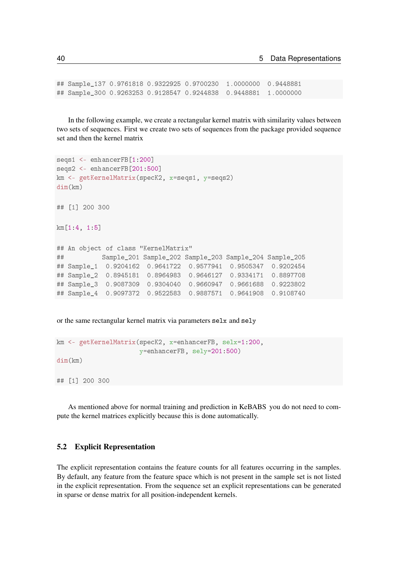```
## Sample_137 0.9761818 0.9322925 0.9700230 1.0000000 0.9448881
## Sample_300 0.9263253 0.9128547 0.9244838 0.9448881 1.0000000
```
In the following example, we create a rectangular kernel matrix with similarity values between two sets of sequences. First we create two sets of sequences from the package provided sequence set and then the kernel matrix

```
seqs1 <- enhancerFB[1:200]
seqs2 <- enhancerFB[201:500]
km <- getKernelMatrix(specK2, x=seqs1, y=seqs2)
dim(km)
## [1] 200 300
km[1:4, 1:5]
## An object of class "KernelMatrix"
## Sample_201 Sample_202 Sample_203 Sample_204 Sample_205
## Sample_1 0.9204162 0.9641722 0.9577941 0.9505347 0.9202454
## Sample_2 0.8945181 0.8964983 0.9646127 0.9334171 0.8897708
## Sample_3 0.9087309 0.9304040 0.9660947 0.9661688 0.9223802
## Sample_4 0.9097372 0.9522583 0.9887571 0.9641908 0.9108740
```
or the same rectangular kernel matrix via parameters selx and sely

```
km <- getKernelMatrix(specK2, x=enhancerFB, selx=1:200,
                      y=enhancerFB, sely=201:500)
dim(km)
## [1] 200 300
```
As mentioned above for normal training and prediction in KeBABS you do not need to compute the kernel matrices explicitly because this is done automatically.

#### 5.2 Explicit Representation

The explicit representation contains the feature counts for all features occurring in the samples. By default, any feature from the feature space which is not present in the sample set is not listed in the explicit representation. From the sequence set an explicit representations can be generated in sparse or dense matrix for all position-independent kernels.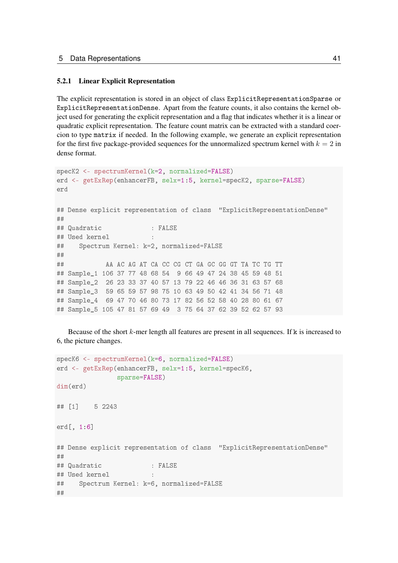#### 5.2.1 Linear Explicit Representation

The explicit representation is stored in an object of class ExplicitRepresentationSparse or ExplicitRepresentationDense. Apart from the feature counts, it also contains the kernel object used for generating the explicit representation and a flag that indicates whether it is a linear or quadratic explicit representation. The feature count matrix can be extracted with a standard coercion to type matrix if needed. In the following example, we generate an explicit representation for the first five package-provided sequences for the unnormalized spectrum kernel with  $k = 2$  in dense format.

```
specK2 <- spectrumKernel(k=2, normalized=FALSE)
erd <- getExRep(enhancerFB, selx=1:5, kernel=specK2, sparse=FALSE)
erd
## Dense explicit representation of class "ExplicitRepresentationDense"
##
## Quadratic : FALSE
## Used kernel
## Spectrum Kernel: k=2, normalized=FALSE
##
## AA AC AG AT CA CC CG CT GA GC GG GT TA TC TG TT
## Sample_1 106 37 77 48 68 54 9 66 49 47 24 38 45 59 48 51
## Sample_2 26 23 33 37 40 57 13 79 22 46 46 36 31 63 57 68
## Sample_3 59 65 59 57 98 75 10 63 49 50 42 41 34 56 71 48
## Sample_4 69 47 70 46 80 73 17 82 56 52 58 40 28 80 61 67
## Sample_5 105 47 81 57 69 49 3 75 64 37 62 39 52 62 57 93
```
Because of the short  $k$ -mer length all features are present in all sequences. If  $k$  is increased to 6, the picture changes.

```
specK6 <- spectrumKernel(k=6, normalized=FALSE)
erd <- getExRep(enhancerFB, selx=1:5, kernel=specK6,
               sparse=FALSE)
dim(erd)
## [1] 5 2243
erd[, 1:6]
## Dense explicit representation of class "ExplicitRepresentationDense"
##
## Quadratic : FALSE
## Used kernel :
## Spectrum Kernel: k=6, normalized=FALSE
##
```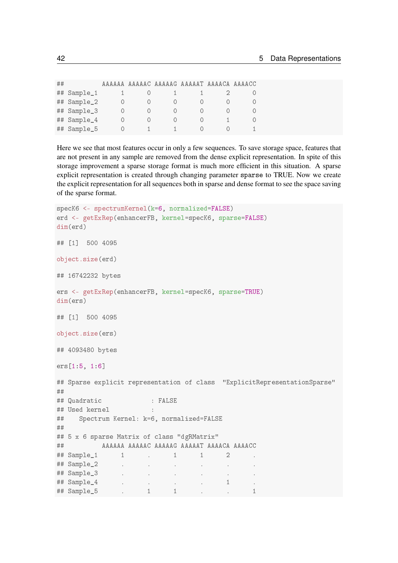| ## |             | AAAAAA |  | AAAAAC AAAAAG AAAAAT AAAACA AAAACC |  |
|----|-------------|--------|--|------------------------------------|--|
| ## | Sample_1    |        |  |                                    |  |
| ## | Sample_2    |        |  |                                    |  |
|    | ## Sample_3 |        |  |                                    |  |
| ## | Sample_4    |        |  |                                    |  |
| ## | Sample_5    |        |  |                                    |  |

Here we see that most features occur in only a few sequences. To save storage space, features that are not present in any sample are removed from the dense explicit representation. In spite of this storage improvement a sparse storage format is much more efficient in this situation. A sparse explicit representation is created through changing parameter sparse to TRUE. Now we create the explicit representation for all sequences both in sparse and dense format to see the space saving of the sparse format.

```
specK6 <- spectrumKernel(k=6, normalized=FALSE)
erd <- getExRep(enhancerFB, kernel=specK6, sparse=FALSE)
dim(erd)
## [1] 500 4095
object.size(erd)
## 16742232 bytes
ers <- getExRep(enhancerFB, kernel=specK6, sparse=TRUE)
dim(ers)
## [1] 500 4095
object.size(ers)
## 4093480 bytes
ers[1:5, 1:6]
## Sparse explicit representation of class "ExplicitRepresentationSparse"
##
## Quadratic : FALSE
## Used kernel :
## Spectrum Kernel: k=6, normalized=FALSE
##
## 5 x 6 sparse Matrix of class "dgRMatrix"
## AAAAAA AAAAAC AAAAAG AAAAAT AAAACA AAAACC
## Sample_1 1 . 1 1 2 .
## Sample_2 . . . . . .
## Sample_3 . . . . . .
## Sample_4 . . . . . . . . 1 .
## Sample_5 . 1 1 . . 1
```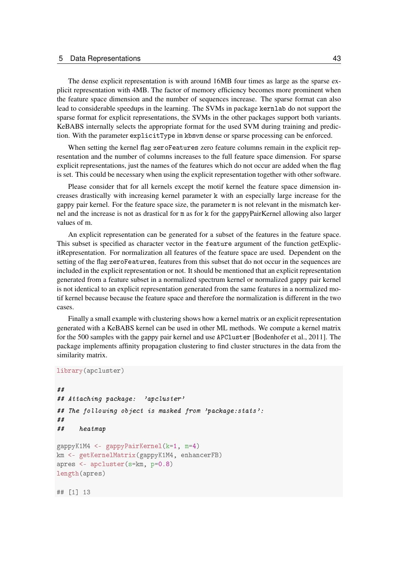#### 5 Data Representations 43

The dense explicit representation is with around 16MB four times as large as the sparse explicit representation with 4MB. The factor of memory efficiency becomes more prominent when the feature space dimension and the number of sequences increase. The sparse format can also lead to considerable speedups in the learning. The SVMs in package kernlab do not support the sparse format for explicit representations, the SVMs in the other packages support both variants. KeBABS internally selects the appropriate format for the used SVM during training and prediction. With the parameter explicitType in kbsvm dense or sparse processing can be enforced.

When setting the kernel flag zeroFeatures zero feature columns remain in the explicit representation and the number of columns increases to the full feature space dimension. For sparse explicit representations, just the names of the features which do not occur are added when the flag is set. This could be necessary when using the explicit representation together with other software.

Please consider that for all kernels except the motif kernel the feature space dimension increases drastically with increasing kernel parameter k with an especially large increase for the gappy pair kernel. For the feature space size, the parameter m is not relevant in the mismatch kernel and the increase is not as drastical for m as for k for the gappyPairKernel allowing also larger values of m.

An explicit representation can be generated for a subset of the features in the feature space. This subset is specified as character vector in the feature argument of the function getExplicitRepresentation. For normalization all features of the feature space are used. Dependent on the setting of the flag zeroFeatures, features from this subset that do not occur in the sequences are included in the explicit representation or not. It should be mentioned that an explicit representation generated from a feature subset in a normalized spectrum kernel or normalized gappy pair kernel is not identical to an explicit representation generated from the same features in a normalized motif kernel because because the feature space and therefore the normalization is different in the two cases.

Finally a small example with clustering shows how a kernel matrix or an explicit representation generated with a KeBABS kernel can be used in other ML methods. We compute a kernel matrix for the 500 samples with the gappy pair kernel and use APCluster [\[Bodenhofer et al., 2011\]](#page-72-0). The package implements affinity propagation clustering to find cluster structures in the data from the similarity matrix.

```
library(apcluster)
##
## Attaching package: 'apcluster'
## The following object is masked from 'package:stats':
##
## heatmap
gappyK1M4 <- gappyPairKernel(k=1, m=4)
km <- getKernelMatrix(gappyK1M4, enhancerFB)
apres <- apcluster(s=km, p=0.8)
length(apres)
## [1] 13
```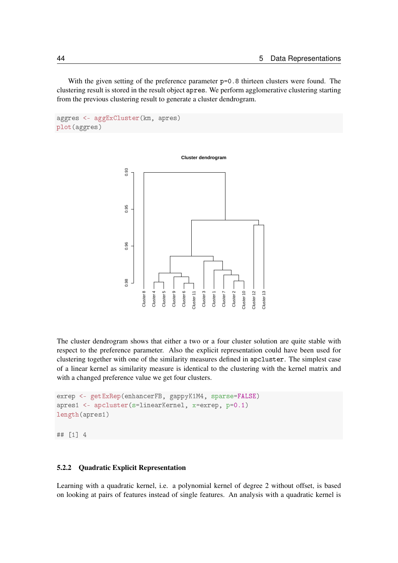With the given setting of the preference parameter  $p=0.8$  thirteen clusters were found. The clustering result is stored in the result object apres. We perform agglomerative clustering starting from the previous clustering result to generate a cluster dendrogram.

```
aggres <- aggExCluster(km, apres)
plot(aggres)
```


The cluster dendrogram shows that either a two or a four cluster solution are quite stable with respect to the preference parameter. Also the explicit representation could have been used for clustering together with one of the similarity measures defined in apcluster. The simplest case of a linear kernel as similarity measure is identical to the clustering with the kernel matrix and with a changed preference value we get four clusters.

```
exrep <- getExRep(enhancerFB, gappyK1M4, sparse=FALSE)
apres1 <- apcluster(s=linearKernel, x=exrep, p=0.1)
length(apres1)
```
## [1] 4

#### 5.2.2 Quadratic Explicit Representation

Learning with a quadratic kernel, i.e. a polynomial kernel of degree 2 without offset, is based on looking at pairs of features instead of single features. An analysis with a quadratic kernel is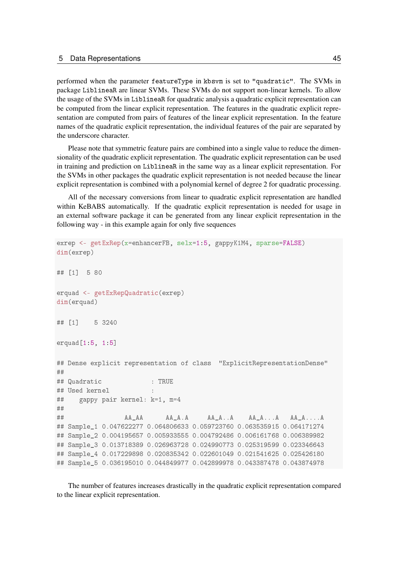performed when the parameter featureType in kbsvm is set to "quadratic". The SVMs in package LiblineaR are linear SVMs. These SVMs do not support non-linear kernels. To allow the usage of the SVMs in LiblineaR for quadratic analysis a quadratic explicit representation can be computed from the linear explicit representation. The features in the quadratic explicit representation are computed from pairs of features of the linear explicit representation. In the feature names of the quadratic explicit representation, the individual features of the pair are separated by the underscore character.

Please note that symmetric feature pairs are combined into a single value to reduce the dimensionality of the quadratic explicit representation. The quadratic explicit representation can be used in training and prediction on LiblineaR in the same way as a linear explicit representation. For the SVMs in other packages the quadratic explicit representation is not needed because the linear explicit representation is combined with a polynomial kernel of degree 2 for quadratic processing.

All of the necessary conversions from linear to quadratic explicit representation are handled within KeBABS automatically. If the quadratic explicit representation is needed for usage in an external software package it can be generated from any linear explicit representation in the following way - in this example again for only five sequences

```
exrep <- getExRep(x=enhancerFB, selx=1:5, gappyK1M4, sparse=FALSE)
dim(exrep)
## [1] 5 80
erquad <- getExRepQuadratic(exrep)
dim(erquad)
## [1] 5 3240
erquad[1:5, 1:5]
## Dense explicit representation of class "ExplicitRepresentationDense"
##
## Quadratic : TRUE
## Used kernel
## gappy pair kernel: k=1, m=4
##
## AA_AA AA_A.A AA_A..A AA_A...A AA_A....A
## Sample_1 0.047622277 0.064806633 0.059723760 0.063535915 0.064171274
## Sample_2 0.004195657 0.005933555 0.004792486 0.006161768 0.006389982
## Sample_3 0.013718389 0.026963728 0.024990773 0.025319599 0.023346643
## Sample 4 0.017229898 0.020835342 0.022601049 0.021541625 0.025426180
## Sample_5 0.036195010 0.044849977 0.042899978 0.043387478 0.043874978
```
The number of features increases drastically in the quadratic explicit representation compared to the linear explicit representation.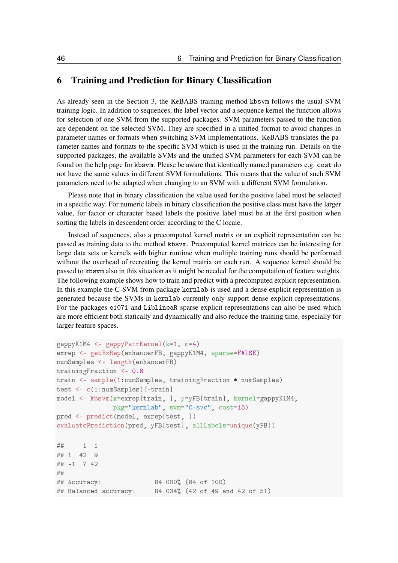## 6 Training and Prediction for Binary Classification

As already seen in the Section [3,](#page-6-0) the KeBABS training method kbsvm follows the usual SVM training logic. In addition to sequences, the label vector and a sequence kernel the function allows for selection of one SVM from the supported packages. SVM parameters passed to the function are dependent on the selected SVM. They are specified in a unified format to avoid changes in parameter names or formats when switching SVM implementations. KeBABS translates the parameter names and formats to the specific SVM which is used in the training run. Details on the supported packages, the available SVMs and the unified SVM parameters for each SVM can be found on the help page for kbsvm. Please be aware that identically named parameters e.g. cost do not have the same values in different SVM formulations. This means that the value of such SVM parameters need to be adapted when changing to an SVM with a different SVM formulation.

Please note that in binary classification the value used for the positive label must be selected in a specific way. For numeric labels in binary classification the positive class must have the larger value, for factor or character based labels the positive label must be at the first position when sorting the labels in descendent order according to the C locale.

Instead of sequences, also a precomputed kernel matrix or an explicit representation can be passed as training data to the method kbsvm. Precomputed kernel matrices can be interesting for large data sets or kernels with higher runtime when multiple training runs should be performed without the overhead of recreating the kernel matrix on each run. A sequence kernel should be passed to kbsvm also in this situation as it might be needed for the computation of feature weights. The following example shows how to train and predict with a precomputed explicit representation. In this example the C-SVM from package kernlab is used and a dense explicit representation is generated because the SVMs in kernlab currently only support dense explicit representations. For the packages e1071 and LiblineaR sparse explicit representations can also be used which are more efficient both statically and dynamically and also reduce the training time, especially for larger feature spaces.

```
gappyK1M4 <- gappyPairKernel(k=1, m=4)
exrep <- getExRep(enhancerFB, gappyK1M4, sparse=FALSE)
numSamples <- length(enhancerFB)
trainingFraction <- 0.8
train <- sample(1:numSamples, trainingFraction * numSamples)
test <- c(1:numSamples)[-train]
model <- kbsvm(x=exrep[train, ], y=yFB[train], kernel=gappyK1M4,
              pkg="kernlab", svm="C-svc", cost=15)
pred <- predict(model, exrep[test, ])
evaluatePrediction(pred, yFB[test], allLabels=unique(yFB))
## 1 -1## 1 42 9
## -1 7 42
##
## Accuracy: 84.000% (84 of 100)
## Balanced accuracy: 84.034% (42 of 49 and 42 of 51)
```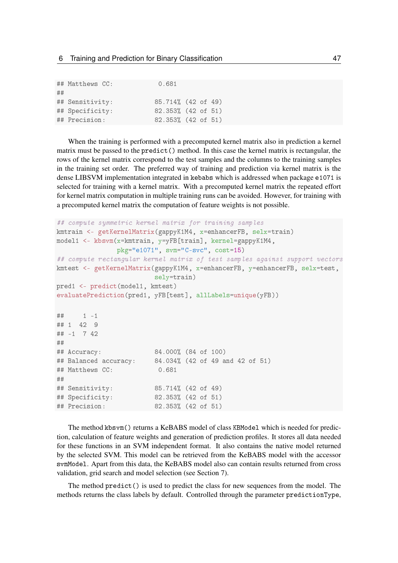|    | ## Matthews CC: | 0.681              |  |
|----|-----------------|--------------------|--|
| ## |                 |                    |  |
|    | ## Sensitivity: | 85.714% (42 of 49) |  |
|    | ## Specificity: | 82.353% (42 of 51) |  |
|    | ## Precision:   | 82.353% (42 of 51) |  |

When the training is performed with a precomputed kernel matrix also in prediction a kernel matrix must be passed to the predict  $()$  method. In this case the kernel matrix is rectangular, the rows of the kernel matrix correspond to the test samples and the columns to the training samples in the training set order. The preferred way of training and prediction via kernel matrix is the dense LIBSVM implementation integrated in kebabs which is addressed when package e1071 is selected for training with a kernel matrix. With a precomputed kernel matrix the repeated effort for kernel matrix computation in multiple training runs can be avoided. However, for training with a precomputed kernel matrix the computation of feature weights is not possible.

```
## compute symmetric kernel matrix for training samples
kmtrain <- getKernelMatrix(gappyK1M4, x=enhancerFB, selx=train)
model1 <- kbsvm(x=kmtrain, y=yFB[train], kernel=gappyK1M4,
               pkg="e1071", svm="C-svc", cost=15)
## compute rectangular kernel matrix of test samples against support vectors
kmtest <- getKernelMatrix(gappyK1M4, x=enhancerFB, y=enhancerFB, selx=test,
                        sely=train)
pred1 <- predict(model1, kmtest)
evaluatePrediction(pred1, yFB[test], allLabels=unique(yFB))
## 1 -1## 1 42 9
## -1 7 42
##
## Accuracy: 84.000% (84 of 100)
## Balanced accuracy: 84.034% (42 of 49 and 42 of 51)
## Matthews CC: 0.681
##
## Sensitivity: 85.714% (42 of 49)
## Specificity: 82.353% (42 of 51)
## Precision: 82.353% (42 of 51)
```
The method kbsvm() returns a KeBABS model of class KBModel which is needed for prediction, calculation of feature weights and generation of prediction profiles. It stores all data needed for these functions in an SVM independent format. It also contains the native model returned by the selected SVM. This model can be retrieved from the KeBABS model with the accessor svmModel. Apart from this data, the KeBABS model also can contain results returned from cross validation, grid search and model selection (see Section [7\)](#page-48-0).

The method predict() is used to predict the class for new sequences from the model. The methods returns the class labels by default. Controlled through the parameter predictionType,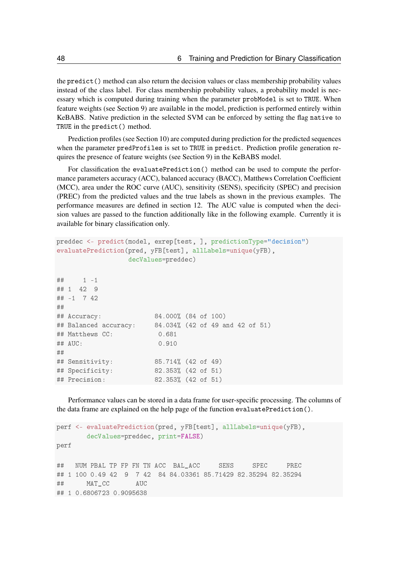the predict() method can also return the decision values or class membership probability values instead of the class label. For class membership probability values, a probability model is necessary which is computed during training when the parameter probModel is set to TRUE. When feature weights (see Section [9\)](#page-60-0) are available in the model, prediction is performed entirely within KeBABS. Native prediction in the selected SVM can be enforced by setting the flag native to TRUE in the predict() method.

Prediction profiles (see Section [10\)](#page-62-0) are computed during prediction for the predicted sequences when the parameter predProfiles is set to TRUE in predict. Prediction profile generation requires the presence of feature weights (see Section [9\)](#page-60-0) in the KeBABS model.

For classification the evaluatePrediction() method can be used to compute the performance parameters accuracy (ACC), balanced accuracy (BACC), Matthews Correlation Coefficient (MCC), area under the ROC curve (AUC), sensitivity (SENS), specificity (SPEC) and precision (PREC) from the predicted values and the true labels as shown in the previous examples. The performance measures are defined in section [12.](#page-68-0) The AUC value is computed when the decision values are passed to the function additionally like in the following example. Currently it is available for binary classification only.

```
preddec <- predict(model, exrep[test, ], predictionType="decision")
evaluatePrediction(pred, yFB[test], allLabels=unique(yFB),
               decValues=preddec)
## 1 -1## 1 42 9
## -1 7 42
##
## Accuracy: 84.000% (84 of 100)
## Balanced accuracy: 84.034% (42 of 49 and 42 of 51)
## Matthews CC: 0.681
## AUC: 0.910
##
## Sensitivity: 85.714% (42 of 49)
## Specificity: 82.353% (42 of 51)
## Precision: 82.353% (42 of 51)
```
Performance values can be stored in a data frame for user-specific processing. The columns of the data frame are explained on the help page of the function evaluatePrediction().

```
perf <- evaluatePrediction(pred, yFB[test], allLabels=unique(yFB),
       decValues=preddec, print=FALSE)
perf
## NUM PBAL TP FP FN TN ACC BAL_ACC SENS SPEC PREC
## 1 100 0.49 42 9 7 42 84 84.03361 85.71429 82.35294 82.35294
## MAT_CC AUC
## 1 0.6806723 0.9095638
```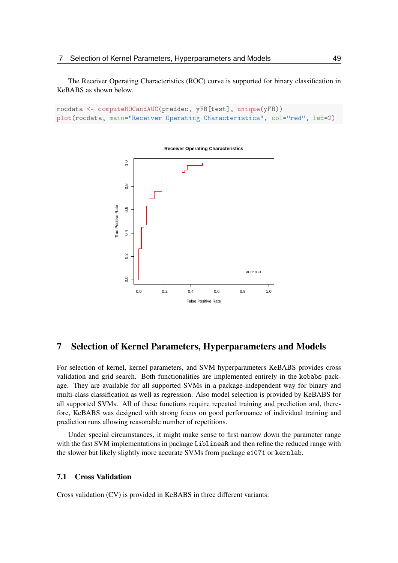The Receiver Operating Characteristics (ROC) curve is supported for binary classification in KeBABS as shown below.

```
rocdata <- computeROCandAUC(preddec, yFB[test], unique(yFB))
plot(rocdata, main="Receiver Operating Characteristics", col="red", lwd=2)
```


**Receiver Operating Characteristics**

# <span id="page-48-0"></span>7 Selection of Kernel Parameters, Hyperparameters and Models

For selection of kernel, kernel parameters, and SVM hyperparameters KeBABS provides cross validation and grid search. Both functionalities are implemented entirely in the kebabs package. They are available for all supported SVMs in a package-independent way for binary and multi-class classification as well as regression. Also model selection is provided by KeBABS for all supported SVMs. All of these functions require repeated training and prediction and, therefore, KeBABS was designed with strong focus on good performance of individual training and prediction runs allowing reasonable number of repetitions.

Under special circumstances, it might make sense to first narrow down the parameter range with the fast SVM implementations in package LiblineaR and then refine the reduced range with the slower but likely slightly more accurate SVMs from package e1071 or kernlab.

#### 7.1 Cross Validation

Cross validation (CV) is provided in KeBABS in three different variants: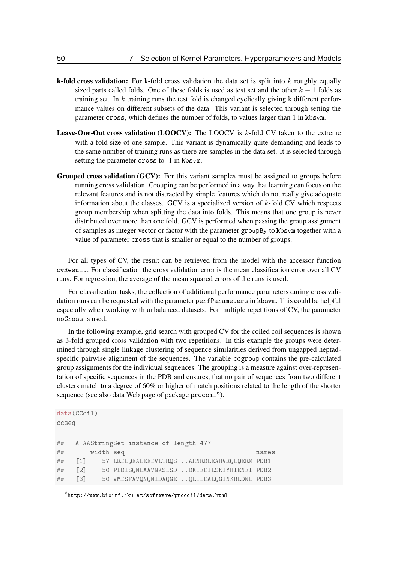- **k-fold cross validation:** For k-fold cross validation the data set is split into  $k$  roughly equally sized parts called folds. One of these folds is used as test set and the other  $k - 1$  folds as training set. In k training runs the test fold is changed cyclically giving k different performance values on different subsets of the data. This variant is selected through setting the parameter cross, which defines the number of folds, to values larger than 1 in kbsvm.
- **Leave-One-Out cross validation (LOOCV):** The LOOCV is  $k$ -fold CV taken to the extreme with a fold size of one sample. This variant is dynamically quite demanding and leads to the same number of training runs as there are samples in the data set. It is selected through setting the parameter cross to -1 in kbsvm.
- Grouped cross validation (GCV): For this variant samples must be assigned to groups before running cross validation. Grouping can be performed in a way that learning can focus on the relevant features and is not distracted by simple features which do not really give adequate information about the classes. GCV is a specialized version of  $k$ -fold CV which respects group membership when splitting the data into folds. This means that one group is never distributed over more than one fold. GCV is performed when passing the group assignment of samples as integer vector or factor with the parameter groupBy to kbsvm together with a value of parameter cross that is smaller or equal to the number of groups.

For all types of CV, the result can be retrieved from the model with the accessor function cvResult. For classification the cross validation error is the mean classification error over all CV runs. For regression, the average of the mean squared errors of the runs is used.

For classification tasks, the collection of additional performance parameters during cross validation runs can be requested with the parameter perfParameters in kbsvm. This could be helpful especially when working with unbalanced datasets. For multiple repetitions of CV, the parameter noCross is used.

In the following example, grid search with grouped CV for the coiled coil sequences is shown as 3-fold grouped cross validation with two repetitions. In this example the groups were determined through single linkage clustering of sequence similarities derived from ungapped heptadspecific pairwise alignment of the sequences. The variable ccgroup contains the pre-calculated group assignments for the individual sequences. The grouping is a measure against over-representation of specific sequences in the PDB and ensures, that no pair of sequences from two different clusters match to a degree of 60% or higher of match positions related to the length of the shorter sequence (see also data Web page of package  $\text{procoil}^6$  $\text{procoil}^6$ ).

```
data(CCoil)
ccseq
## A AAStringSet instance of length 477
## width seq names
## [1] 57 LRELQEALEEEVLTRQS...ARNRDLEAHVRQLQERM PDB1
## [2] 50 PLDISQNLAAVNKSLSD...DKIEEILSKIYHIENEI PDB2
## [3] 50 VMESFAVQNQNIDAQGE...QLILEALQGINKRLDNL PDB3
```
<span id="page-49-0"></span> $^6$ <http://www.bioinf.jku.at/software/procoil/data.html>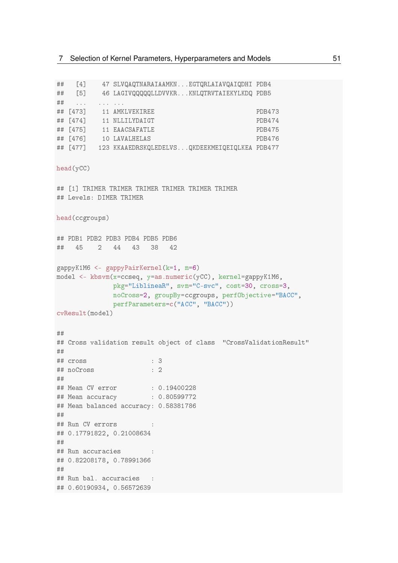```
## [4] 47 SLVQAQTNARAIAAMKN...EGTQRLAIAVQAIQDHI PDB4
## [5] 46 LAGIVQQQQQLLDVVKR...KNLQTRVTAIEKYLKDQ PDB5
## ... . ... ...
## [473] 11 AMKLVEKIREE PDB473
## [474] 11 NLLILYDAIGT PDB474
## [475] 11 EAACSAFATLE PDB475
## [476] 10 LAVALHELAS PDB476
## [477] 123 KKAAEDRSKQLEDELVS...QKDEEKMEIQEIQLKEA PDB477
head(yCC)
## [1] TRIMER TRIMER TRIMER TRIMER TRIMER TRIMER
## Levels: DIMER TRIMER
head(ccgroups)
## PDB1 PDB2 PDB3 PDB4 PDB5 PDB6
## 45 2 44 43 38 42
gappyK1M6 <- gappyPairKernel(k=1, m=6)
model <- kbsvm(x=ccseq, y=as.numeric(yCC), kernel=gappyK1M6,
            pkg="LiblineaR", svm="C-svc", cost=30, cross=3,
            noCross=2, groupBy=ccgroups, perfObjective="BACC",
            perfParameters=c("ACC", "BACC"))
cvResult(model)
##
## Cross validation result object of class "CrossValidationResult"
##
## cross : 3
## noCross : 2
##
## Mean CV error : 0.19400228
## Mean accuracy : 0.80599772
## Mean balanced accuracy: 0.58381786
##
## Run CV errors :
## 0.17791822, 0.21008634
##
## Run accuracies :
## 0.82208178, 0.78991366
##
## Run bal. accuracies :
## 0.60190934, 0.56572639
```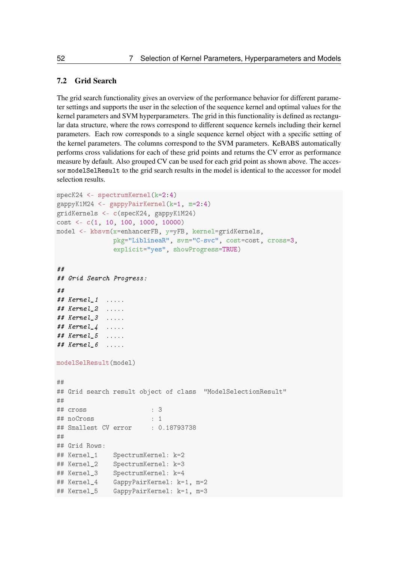### 7.2 Grid Search

The grid search functionality gives an overview of the performance behavior for different parameter settings and supports the user in the selection of the sequence kernel and optimal values for the kernel parameters and SVM hyperparameters. The grid in this functionality is defined as rectangular data structure, where the rows correspond to different sequence kernels including their kernel parameters. Each row corresponds to a single sequence kernel object with a specific setting of the kernel parameters. The columns correspond to the SVM parameters. KeBABS automatically performs cross validations for each of these grid points and returns the CV error as performance measure by default. Also grouped CV can be used for each grid point as shown above. The accessor modelSelResult to the grid search results in the model is identical to the accessor for model selection results.

```
specK24 <- spectrumKernel(k=2:4)
gappyK1M24 <- gappyPairKernel(k=1, m=2:4)
gridKernels <- c(specK24, gappyK1M24)
cost <- c(1, 10, 100, 1000, 10000)
model <- kbsvm(x=enhancerFB, y=yFB, kernel=gridKernels,
              pkg="LiblineaR", svm="C-svc", cost=cost, cross=3,
              explicit="yes", showProgress=TRUE)
##
## Grid Search Progress:
##
## Kernel_1 .....
## Kernel_2 .....
## Kernel_3 .....
## Kernel_4 .....
# Kernel 5 .....
# Kernel 6 .....
modelSelResult(model)
##
## Grid search result object of class "ModelSelectionResult"
##
## cross : 3
## noCross : 1
## Smallest CV error : 0.18793738
##
## Grid Rows:
## Kernel_1 SpectrumKernel: k=2
## Kernel_2 SpectrumKernel: k=3
## Kernel 3 SpectrumKernel: k=4
## Kernel 4 GappyPairKernel: k=1, m=2
## Kernel_5 GappyPairKernel: k=1, m=3
```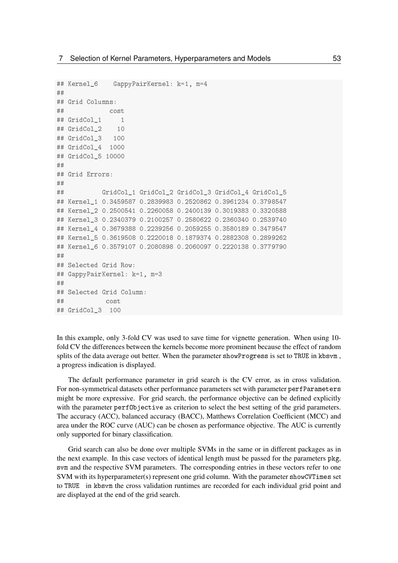```
## Kernel_6 GappyPairKernel: k=1, m=4
##
## Grid Columns:
## cost
## GridCol 1 1
## GridCol 2 10
## GridCol_3 100
## GridCol_4 1000
## GridCol_5 10000
##
## Grid Errors:
##
## GridCol_1 GridCol_2 GridCol_3 GridCol_4 GridCol_5
## Kernel_1 0.3459587 0.2839983 0.2520862 0.3961234 0.3798547
## Kernel_2 0.2500541 0.2260058 0.2400139 0.3019383 0.3320588
## Kernel_3 0.2340379 0.2100257 0.2580622 0.2360340 0.2539740
## Kernel_4 0.3679388 0.2239256 0.2059255 0.3580189 0.3479547
## Kernel_5 0.3619508 0.2220018 0.1879374 0.2882308 0.2899262
## Kernel_6 0.3579107 0.2080898 0.2060097 0.2220138 0.3779790
#H## Selected Grid Row:
## GappyPairKernel: k=1, m=3
##
## Selected Grid Column:
## cost
## GridCol_3 100
```
In this example, only 3-fold CV was used to save time for vignette generation. When using 10 fold CV the differences between the kernels become more prominent because the effect of random splits of the data average out better. When the parameter showProgress is set to TRUE in kbsvm , a progress indication is displayed.

The default performance parameter in grid search is the CV error, as in cross validation. For non-symmetrical datasets other performance parameters set with parameter perfParameters might be more expressive. For grid search, the performance objective can be defined explicitly with the parameter perfObjective as criterion to select the best setting of the grid parameters. The accuracy (ACC), balanced accuracy (BACC), Matthews Correlation Coefficient (MCC) and area under the ROC curve (AUC) can be chosen as performance objective. The AUC is currently only supported for binary classification.

Grid search can also be done over multiple SVMs in the same or in different packages as in the next example. In this case vectors of identical length must be passed for the parameters pkg, svm and the respective SVM parameters. The corresponding entries in these vectors refer to one SVM with its hyperparameter(s) represent one grid column. With the parameter showCVTimes set to TRUE in kbsvm the cross validation runtimes are recorded for each individual grid point and are displayed at the end of the grid search.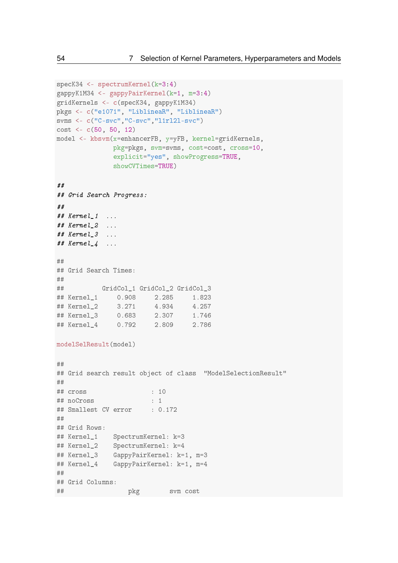```
specK34 <- spectrumKernel(k=3:4)
gappyK1M34 <- gappyPairKernel(k=1, m=3:4)
gridKernels <- c(specK34, gappyK1M34)
pkgs <- c("e1071", "LiblineaR", "LiblineaR")
svms <- c("C-svc","C-svc","l1rl2l-svc")
cost \leftarrow c(50, 50, 12)model <- kbsvm(x=enhancerFB, y=yFB, kernel=gridKernels,
             pkg=pkgs, svm=svms, cost=cost, cross=10,
             explicit="yes", showProgress=TRUE,
             showCVTimes=TRUE)
##
## Grid Search Progress:
##
# Kernel 1 \ldots## Kernel_2 ...
## Kernel_3 ...
# Kernel<sub>-4</sub> ...
##
## Grid Search Times:
##
## GridCol_1 GridCol_2 GridCol_3
## Kernel_1 0.908 2.285 1.823
## Kernel_2 3.271 4.934 4.257
## Kernel_3 0.683 2.307 1.746
## Kernel_4 0.792 2.809 2.786
modelSelResult(model)
##
## Grid search result object of class "ModelSelectionResult"
##
## cross : 10
## noCross : 1
## Smallest CV error : 0.172
##
## Grid Rows:
## Kernel_1 SpectrumKernel: k=3
## Kernel_2 SpectrumKernel: k=4
## Kernel_3 GappyPairKernel: k=1, m=3
## Kernel_4 GappyPairKernel: k=1, m=4
##
## Grid Columns:
## pkg svm cost
```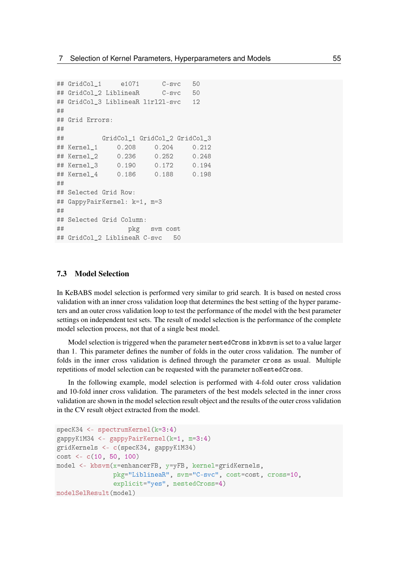```
## GridCol_1 e1071 C-svc 50
## GridCol_2 LiblineaR C-svc 50
## GridCol_3 LiblineaR l1rl2l-svc 12
##
## Grid Errors:
##
## GridCol_1 GridCol_2 GridCol_3
## Kernel_1 0.208 0.204 0.212
## Kernel_2 0.236 0.252 0.248
## Kernel_3 0.190 0.172 0.194
## Kernel_4 0.186 0.188 0.198
##
## Selected Grid Row:
## GappyPairKernel: k=1, m=3
##
## Selected Grid Column:
## pkg svm cost
## GridCol_2 LiblineaR C-svc 50
```
#### 7.3 Model Selection

In KeBABS model selection is performed very similar to grid search. It is based on nested cross validation with an inner cross validation loop that determines the best setting of the hyper parameters and an outer cross validation loop to test the performance of the model with the best parameter settings on independent test sets. The result of model selection is the performance of the complete model selection process, not that of a single best model.

Model selection is triggered when the parameter nestedCross in kbsvm is set to a value larger than 1. This parameter defines the number of folds in the outer cross validation. The number of folds in the inner cross validation is defined through the parameter cross as usual. Multiple repetitions of model selection can be requested with the parameter noNestedCross.

In the following example, model selection is performed with 4-fold outer cross validation and 10-fold inner cross validation. The parameters of the best models selected in the inner cross validation are shown in the model selection result object and the results of the outer cross validation in the CV result object extracted from the model.

```
specK34 <- spectrumKernel(k=3:4)
gappyK1M34 <- gappyPairKernel(k=1, m=3:4)
gridKernels <- c(specK34, gappyK1M34)
cost <- c(10, 50, 100)
model <- kbsvm(x=enhancerFB, y=yFB, kernel=gridKernels,
               pkg="LiblineaR", svm="C-svc", cost=cost, cross=10,
               explicit="yes", nestedCross=4)
modelSelResult(model)
```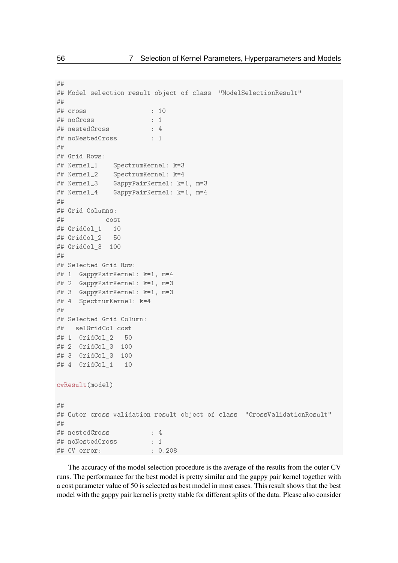```
##
## Model selection result object of class "ModelSelectionResult"
##
## cross : 10
## noCross : 1
## nestedCross : 4
## noNestedCross : 1
##
## Grid Rows:
## Kernel_1 SpectrumKernel: k=3
## Kernel 2 SpectrumKernel: k=4
## Kernel_3 GappyPairKernel: k=1, m=3
## Kernel_4 GappyPairKernel: k=1, m=4
##
## Grid Columns:
## cost
## GridCol 1 10
## GridCol_2 50
## GridCol_3 100
##
## Selected Grid Row:
## 1 GappyPairKernel: k=1, m=4
## 2 GappyPairKernel: k=1, m=3
## 3 GappyPairKernel: k=1, m=3
## 4 SpectrumKernel: k=4
##
## Selected Grid Column:
## selGridCol cost
## 1 GridCol_2 50
## 2 GridCol_3 100
## 3 GridCol_3 100
## 4 GridCol 1 10
cvResult(model)
##
## Outer cross validation result object of class "CrossValidationResult"
##
## nestedCross : 4
## noNestedCross : 1
## CV error: : 0.208
```
The accuracy of the model selection procedure is the average of the results from the outer CV runs. The performance for the best model is pretty similar and the gappy pair kernel together with a cost parameter value of 50 is selected as best model in most cases. This result shows that the best model with the gappy pair kernel is pretty stable for different splits of the data. Please also consider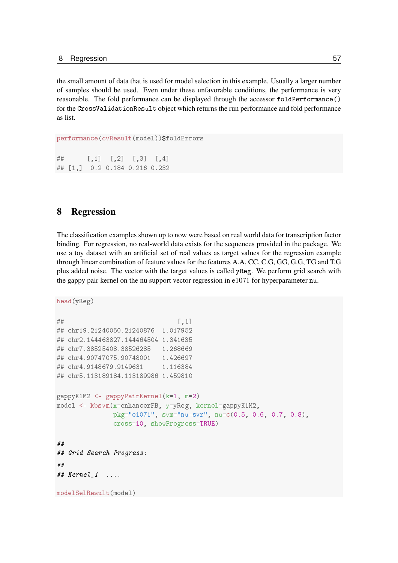the small amount of data that is used for model selection in this example. Usually a larger number of samples should be used. Even under these unfavorable conditions, the performance is very reasonable. The fold performance can be displayed through the accessor foldPerformance() for the CrossValidationResult object which returns the run performance and fold performance as list.

```
performance(cvResult(model))$foldErrors
```
## [,1] [,2] [,3] [,4] ## [1,] 0.2 0.184 0.216 0.232

## 8 Regression

The classification examples shown up to now were based on real world data for transcription factor binding. For regression, no real-world data exists for the sequences provided in the package. We use a toy dataset with an artificial set of real values as target values for the regression example through linear combination of feature values for the features A.A, CC, C.G, GG, G.G, TG and T.G plus added noise. The vector with the target values is called yReg. We perform grid search with the gappy pair kernel on the nu support vector regression in e1071 for hyperparameter nu.

```
head(yReg)
```

```
\sharp # [, 1]
## chr19.21240050.21240876 1.017952
## chr2.144463827.144464504 1.341635
## chr7.38525408.38526285 1.268669
## chr4.90747075.90748001 1.426697
## chr4.9148679.9149631 1.116384
## chr5.113189184.113189986 1.459810
gappyK1M2 <- gappyPairKernel(k=1, m=2)
model <- kbsvm(x=enhancerFB, y=yReg, kernel=gappyK1M2,
              pkg="e1071", svm="nu-svr", nu=c(0.5, 0.6, 0.7, 0.8),
              cross=10, showProgress=TRUE)
##
## Grid Search Progress:
##
## Kernel_1 ....
modelSelResult(model)
```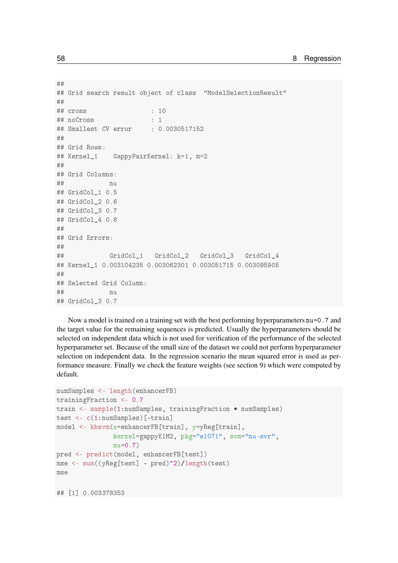```
##
## Grid search result object of class "ModelSelectionResult"
##
## cross : 10
## noCross : 1
## Smallest CV error : 0.0030517152
#H## Grid Rows:
## Kernel_1 GappyPairKernel: k=1, m=2
##
## Grid Columns:
\# \# nu
## GridCol_1 0.5
## GridCol_2 0.6
## GridCol_3 0.7
## GridCol_4 0.8
##
## Grid Errors:
##
## GridCol_1 GridCol_2 GridCol_3 GridCol_4
## Kernel_1 0.003104235 0.003062301 0.003051715 0.003095905
##
## Selected Grid Column:
## nu
## GridCol_3 0.7
```
Now a model is trained on a training set with the best performing hyperparameters nu=0.7 and the target value for the remaining sequences is predicted. Usually the hyperparameters should be selected on independent data which is not used for verification of the performance of the selected hyperparameter set. Because of the small size of the dataset we could not perform hyperparameter selection on independent data. In the regression scenario the mean squared error is used as performance measure. Finally we check the feature weights (see section [9\)](#page-60-0) which were computed by default.

```
numSamples <- length(enhancerFB)
trainingFraction <- 0.7
train <- sample(1:numSamples, trainingFraction * numSamples)
test <- c(1:numSamples)[-train]
model <- kbsvm(x=enhancerFB[train], y=yReg[train],
               kernel=gappyK1M2, pkg="e1071", svm="nu-svr",
               nu=0.7pred <- predict(model, enhancerFB[test])
mse <- sum((yReg[test] - pred)^2)/length(test)
mse
## [1] 0.003378353
```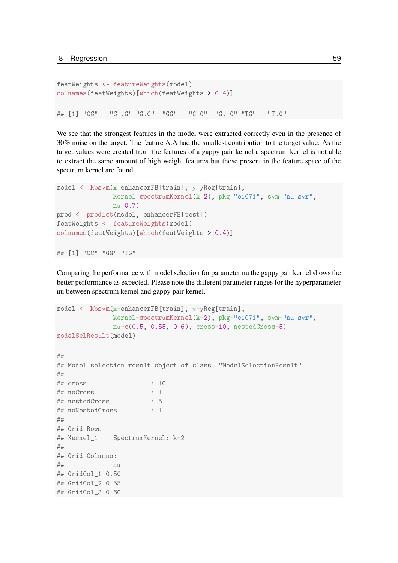```
featWeights <- featureWeights(model)
colnames(featWeights)[which(featWeights > 0.4)]
```
## [1] "CC" "C..G" "G.C" "GG" "G.G" "G..G" "TG" "T.G"

We see that the strongest features in the model were extracted correctly even in the presence of 30% noise on the target. The feature A.A had the smallest contribution to the target value. As the target values were created from the features of a gappy pair kernel a spectrum kernel is not able to extract the same amount of high weight features but those present in the feature space of the spectrum kernel are found.

```
model <- kbsvm(x=enhancerFB[train], v=vReg[train],
               kernel=spectrumKernel(k=2), pkg="e1071", svm="nu-svr",
               nu=0.7)
pred <- predict(model, enhancerFB[test])
featWeights <- featureWeights(model)
colnames(featWeights)[which(featWeights > 0.4)]
```

```
## [1] "CC" "GG" "TG"
```
Comparing the performance with model selection for parameter nu the gappy pair kernel shows the better performance as expected. Please note the different parameter ranges for the hyperparameter nu between spectrum kernel and gappy pair kernel.

```
model <- kbsvm(x=enhancerFB[train], y=yReg[train],
             kernel=spectrumKernel(k=2), pkg="e1071", svm="nu-svr",
             nu=c(0.5, 0.55, 0.6), cross=10, nestedCross=5)
modelSelResult(model)
##
## Model selection result object of class "ModelSelectionResult"
##
## cross : 10
## noCross : 1
## nestedCross : 5
## noNestedCross : 1
##
## Grid Rows:
## Kernel_1 SpectrumKernel: k=2
##
## Grid Columns:
## nu
## GridCol_1 0.50
## GridCol_2 0.55
## GridCol_3 0.60
```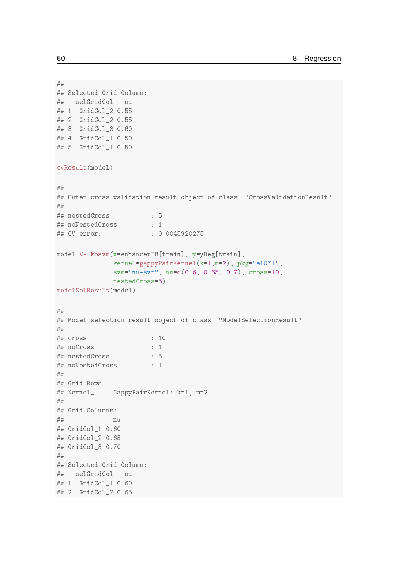```
##
## Selected Grid Column:
## selGridCol nu
## 1 GridCol_2 0.55
## 2 GridCol_2 0.55
## 3 GridCol_3 0.60
## 4 GridCol_1 0.50
## 5 GridCol_1 0.50
cvResult(model)
##
## Outer cross validation result object of class "CrossValidationResult"
##
## nestedCross : 5
## noNestedCross : 1
## CV error: : 0.0045920275
model <- kbsvm(x=enhancerFB[train], y=yReg[train],
             kernel=gappyPairKernel(k=1,m=2), pkg="e1071",
             svm="nu-svr", nu=c(0.6, 0.65, 0.7), cross=10,
             nestedCross=5)
modelSelResult(model)
##
## Model selection result object of class "ModelSelectionResult"
##
## cross : 10
## noCross : 1
## nestedCross : 5
## noNestedCross : 1
##
## Grid Rows:
## Kernel_1 GappyPairKernel: k=1, m=2
##
## Grid Columns:
## nu
## GridCol_1 0.60
## GridCol_2 0.65
## GridCol_3 0.70
##
## Selected Grid Column:
## selGridCol nu
## 1 GridCol_1 0.60
## 2 GridCol_2 0.65
```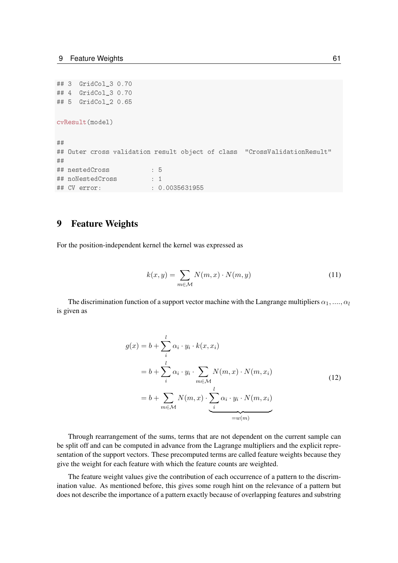```
## 3 GridCol_3 0.70
## 4 GridCol_3 0.70
## 5 GridCol_2 0.65
cvResult(model)
##
## Outer cross validation result object of class "CrossValidationResult"
##
## nestedCross : 5
## noNestedCross : 1
## CV error: : 0.0035631955
```
## <span id="page-60-0"></span>9 Feature Weights

For the position-independent kernel the kernel was expressed as

$$
k(x,y) = \sum_{m \in \mathcal{M}} N(m,x) \cdot N(m,y) \tag{11}
$$

The discrimination function of a support vector machine with the Langrange multipliers  $\alpha_1, \ldots, \alpha_l$ is given as

$$
g(x) = b + \sum_{i}^{l} \alpha_{i} \cdot y_{i} \cdot k(x, x_{i})
$$
  

$$
= b + \sum_{i}^{l} \alpha_{i} \cdot y_{i} \cdot \sum_{m \in \mathcal{M}} N(m, x) \cdot N(m, x_{i})
$$
  

$$
= b + \sum_{m \in \mathcal{M}} N(m, x) \cdot \sum_{i}^{l} \alpha_{i} \cdot y_{i} \cdot N(m, x_{i})
$$
  

$$
= w(m)
$$
 (12)

Through rearrangement of the sums, terms that are not dependent on the current sample can be split off and can be computed in advance from the Lagrange multipliers and the explicit representation of the support vectors. These precomputed terms are called feature weights because they give the weight for each feature with which the feature counts are weighted.

The feature weight values give the contribution of each occurrence of a pattern to the discrimination value. As mentioned before, this gives some rough hint on the relevance of a pattern but does not describe the importance of a pattern exactly because of overlapping features and substring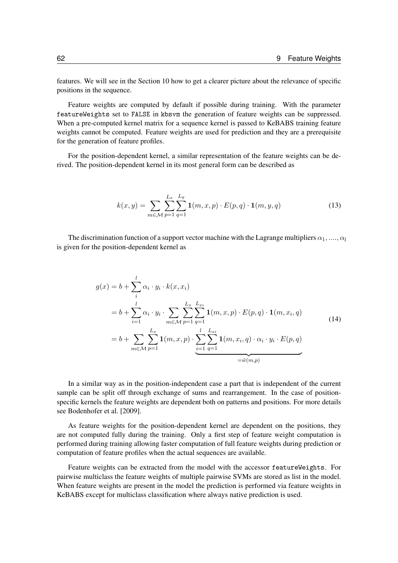features. We will see in the Section [10](#page-62-0) how to get a clearer picture about the relevance of specific positions in the sequence.

Feature weights are computed by default if possible during training. With the parameter featureWeights set to FALSE in kbsvm the generation of feature weights can be suppressed. When a pre-computed kernel matrix for a sequence kernel is passed to KeBABS training feature weights cannot be computed. Feature weights are used for prediction and they are a prerequisite for the generation of feature profiles.

For the position-dependent kernel, a similar representation of the feature weights can be derived. The position-dependent kernel in its most general form can be described as

$$
k(x,y) = \sum_{m \in \mathcal{M}} \sum_{p=1}^{L_x} \sum_{q=1}^{L_y} \mathbf{1}(m, x, p) \cdot E(p, q) \cdot \mathbf{1}(m, y, q)
$$
 (13)

The discrimination function of a support vector machine with the Lagrange multipliers  $\alpha_1, \ldots, \alpha_l$ is given for the position-dependent kernel as

$$
g(x) = b + \sum_{i=1}^{l} \alpha_{i} \cdot y_{i} \cdot k(x, x_{i})
$$
  
\n
$$
= b + \sum_{i=1}^{l} \alpha_{i} \cdot y_{i} \cdot \sum_{m \in \mathcal{M}} \sum_{p=1}^{L_{x}} \sum_{q=1}^{L_{xi}} \mathbf{1}(m, x, p) \cdot E(p, q) \cdot \mathbf{1}(m, x_{i}, q)
$$
  
\n
$$
= b + \sum_{m \in \mathcal{M}} \sum_{p=1}^{L_{x}} \mathbf{1}(m, x, p) \cdot \sum_{i=1}^{l} \sum_{q=1}^{L_{xi}} \mathbf{1}(m, x_{i}, q) \cdot \alpha_{i} \cdot y_{i} \cdot E(p, q)
$$
  
\n
$$
= \tilde{w}(m, p)
$$
 (14)

In a similar way as in the position-independent case a part that is independent of the current sample can be split off through exchange of sums and rearrangement. In the case of positionspecific kernels the feature weights are dependent both on patterns and positions. For more details see [Bodenhofer et al.](#page-72-1) [\[2009\]](#page-72-1).

As feature weights for the position-dependent kernel are dependent on the positions, they are not computed fully during the training. Only a first step of feature weight computation is performed during training allowing faster computation of full feature weights during prediction or computation of feature profiles when the actual sequences are available.

Feature weights can be extracted from the model with the accessor featureWeights. For pairwise multiclass the feature weights of multiple pairwise SVMs are stored as list in the model. When feature weights are present in the model the prediction is performed via feature weights in KeBABS except for multiclass classification where always native prediction is used.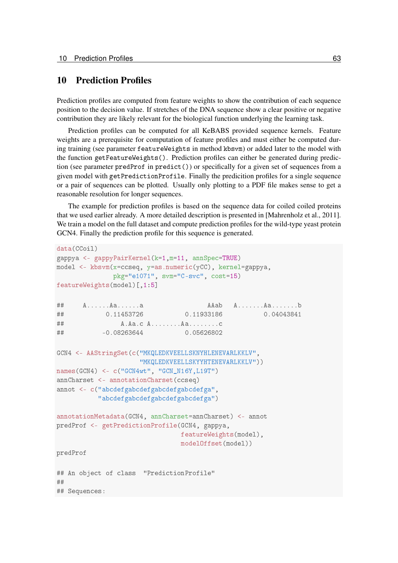## <span id="page-62-0"></span>10 Prediction Profiles

Prediction profiles are computed from feature weights to show the contribution of each sequence position to the decision value. If stretches of the DNA sequence show a clear positive or negative contribution they are likely relevant for the biological function underlying the learning task.

Prediction profiles can be computed for all KeBABS provided sequence kernels. Feature weights are a prerequisite for computation of feature profiles and must either be computed during training (see parameter featureWeights in method kbsvm) or added later to the model with the function getFeatureWeights(). Prediction profiles can either be generated during prediction (see parameter predProf in predict()) or specifically for a given set of sequences from a given model with getPredictionProfile. Finally the predicition profiles for a single sequence or a pair of sequences can be plotted. Usually only plotting to a PDF file makes sense to get a reasonable resolution for longer sequences.

The example for prediction profiles is based on the sequence data for coiled coiled proteins that we used earlier already. A more detailed description is presented in [\[Mahrenholz et al., 2011\]](#page-72-2). We train a model on the full dataset and compute prediction profiles for the wild-type yeast protein GCN4. Finally the prediction profile for this sequence is generated.

```
data(CCoil)
gappya <- gappyPairKernel(k=1,m=11, annSpec=TRUE)
model <- kbsvm(x=ccseq, y=as.numeric(yCC), kernel=gappya,
             pkg="e1071", svm="C-svc", cost=15)
featureWeights(model)[,1:5]
## A......Aa......a AAab A.......Aa.......b
## 0.11453726 0.11933186 0.04043841
## A.Aa.c A........Aa........c
## -0.08263644 0.05626802
GCN4 <- AAStringSet(c("MKQLEDKVEELLSKNYHLENEVARLKKLV",
                    "MKQLEDKVEELLSKYYHTENEVARLKKLV"))
names(GCN4) <- c("GCN4wt", "GCN_N16Y,L19T")
annCharset <- annotationCharset(ccseq)
annot <- c("abcdefgabcdefgabcdefgabcdefga",
          "abcdefgabcdefgabcdefgabcdefga")
annotationMetadata(GCN4, annCharset=annCharset) <- annot
predProf <- getPredictionProfile(GCN4, gappya,
                              featureWeights(model),
                              modelOffset(model))
predProf
## An object of class "PredictionProfile"
##
## Sequences:
```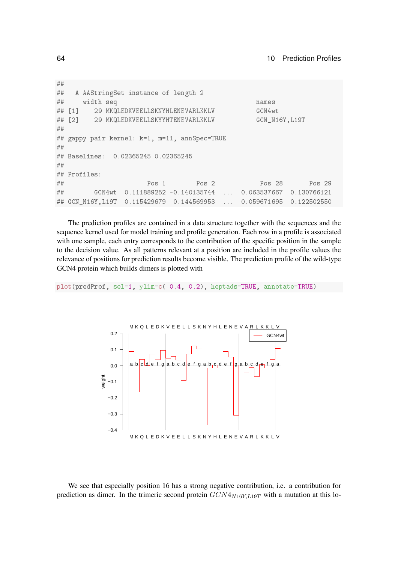```
##
## A AAStringSet instance of length 2
## width seq names
## [1] 29 MKQLEDKVEELLSKNYHLENEVARLKKLV GCN4wt
## [2] 29 MKQLEDKVEELLSKYYHTENEVARLKKLV GCN_N16Y, L19T
##
## gappy pair kernel: k=1, m=11, annSpec=TRUE
##
## Baselines: 0.02365245 0.02365245
##
## Profiles:
## Pos 1 Pos 2 Pos 28 Pos 29
## GCN4wt 0.111889252 -0.140135744 ... 0.063537667 0.130766121
## GCN_N16Y,L19T 0.115429679 -0.144569953 ... 0.059671695 0.122502550
```
The prediction profiles are contained in a data structure together with the sequences and the sequence kernel used for model training and profile generation. Each row in a profile is associated with one sample, each entry corresponds to the contribution of the specific position in the sample to the decision value. As all patterns relevant at a position are included in the profile values the relevance of positions for prediction results become visible. The prediction profile of the wild-type GCN4 protein which builds dimers is plotted with

plot(predProf, sel=1, ylim=c(-0.4, 0.2), heptads=TRUE, annotate=TRUE)



We see that especially position 16 has a strong negative contribution, i.e. a contribution for prediction as dimer. In the trimeric second protein  $GCN4_{N16Y, L19T}$  with a mutation at this lo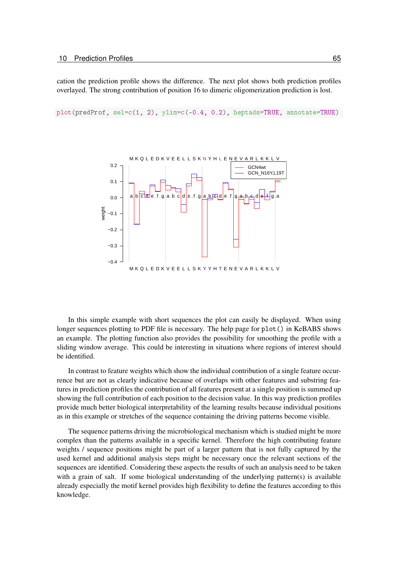cation the prediction profile shows the difference. The next plot shows both prediction profiles overlayed. The strong contribution of position 16 to dimeric oligomerization prediction is lost.

plot(predProf, sel=c(1, 2), ylim=c(-0.4, 0.2), heptads=TRUE, annotate=TRUE)



In this simple example with short sequences the plot can easily be displayed. When using longer sequences plotting to PDF file is necessary. The help page for plot() in KeBABS shows an example. The plotting function also provides the possibility for smoothing the profile with a sliding window average. This could be interesting in situations where regions of interest should be identified.

In contrast to feature weights which show the individual contribution of a single feature occurrence but are not as clearly indicative because of overlaps with other features and substring features in prediction profiles the contribution of all features present at a single position is summed up showing the full contribution of each position to the decision value. In this way prediction profiles provide much better biological interpretability of the learning results because individual positions as in this example or stretches of the sequence containing the driving patterns become visible.

The sequence patterns driving the microbiological mechanism which is studied might be more complex than the patterns available in a specific kernel. Therefore the high contributing feature weights / sequence positions might be part of a larger pattern that is not fully captured by the used kernel and additional analysis steps might be necessary once the relevant sections of the sequences are identified. Considering these aspects the results of such an analysis need to be taken with a grain of salt. If some biological understanding of the underlying pattern(s) is available already especially the motif kernel provides high flexibility to define the features according to this knowledge.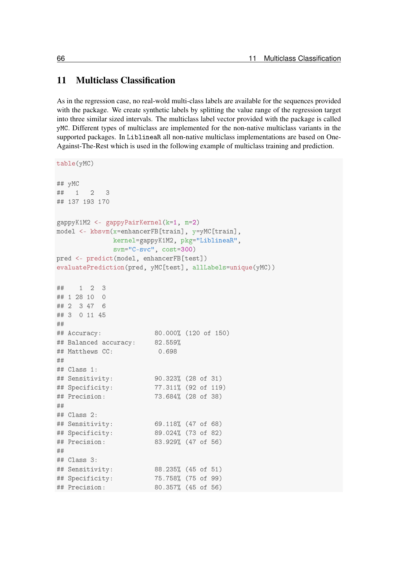# 11 Multiclass Classification

As in the regression case, no real-wold multi-class labels are available for the sequences provided with the package. We create synthetic labels by splitting the value range of the regression target into three similar sized intervals. The multiclass label vector provided with the package is called yMC. Different types of multiclass are implemented for the non-native multiclass variants in the supported packages. In LiblineaR all non-native multiclass implementations are based on One-Against-The-Rest which is used in the following example of multiclass training and prediction.

```
table(yMC)
## yMC
## 1 2 3
## 137 193 170
gappyK1M2 <- gappyPairKernel(k=1, m=2)
model <- kbsvm(x=enhancerFB[train], y=yMC[train],
             kernel=gappyK1M2, pkg="LiblineaR",
             svm="C-svc", cost=300)
pred <- predict(model, enhancerFB[test])
evaluatePrediction(pred, yMC[test], allLabels=unique(yMC))
## 1 2 3
## 1 28 10 0
## 2 3 47 6
## 3 0 11 45
##
## Accuracy: 80.000% (120 of 150)
## Balanced accuracy: 82.559%
## Matthews CC: 0.698
##
## Class 1:
## Sensitivity: 90.323% (28 of 31)
## Specificity: 77.311% (92 of 119)
## Precision: 73.684% (28 of 38)
##
## Class 2:
## Sensitivity: 69.118% (47 of 68)
## Specificity: 89.024% (73 of 82)
## Precision: 83.929% (47 of 56)
##
## Class 3:
## Sensitivity: 88.235% (45 of 51)
## Specificity: 75.758% (75 of 99)
## Precision: 80.357% (45 of 56)
```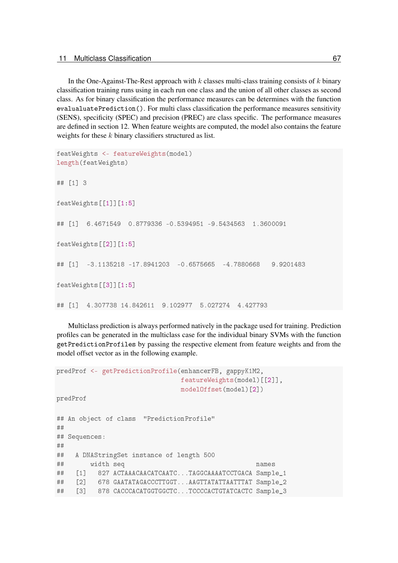In the One-Against-The-Rest approach with  $k$  classes multi-class training consists of  $k$  binary classification training runs using in each run one class and the union of all other classes as second class. As for binary classification the performance measures can be determines with the function evalualuatePrediction(). For multi class classification the performance measures sensitivity (SENS), specificity (SPEC) and precision (PREC) are class specific. The performance measures are defined in section [12.](#page-68-0) When feature weights are computed, the model also contains the feature weights for these  $k$  binary classifiers structured as list.

```
featWeights <- featureWeights(model)
length(featWeights)
## [1] 3
featWeights[[1]][1:5]
## [1] 6.4671549 0.8779336 -0.5394951 -9.5434563 1.3600091
featWeights[[2]][1:5]
## [1] -3.1135218 -17.8941203 -0.6575665 -4.7880668 9.9201483
featWeights[[3]][1:5]
## [1] 4.307738 14.842611 9.102977 5.027274 4.427793
```
Multiclass prediction is always performed natively in the package used for training. Prediction profiles can be generated in the multiclass case for the individual binary SVMs with the function getPredictionProfiles by passing the respective element from feature weights and from the model offset vector as in the following example.

```
predProf <- getPredictionProfile(enhancerFB, gappyK1M2,
                             featureWeights(model)[[2]],
                             modelOffset(model)[2])
predProf
## An object of class "PredictionProfile"
##
## Sequences:
##
## A DNAStringSet instance of length 500
## width seq names
## [1] 827 ACTAAACAACATCAATC...TAGGCAAAATCCTGACA Sample 1
## [2] 678 GAATATAGACCCTTGGT...AAGTTATATTAATTTAT Sample 2
## [3] 878 CACCCACATGGTGGCTC...TCCCCACTGTATCACTC Sample_3
```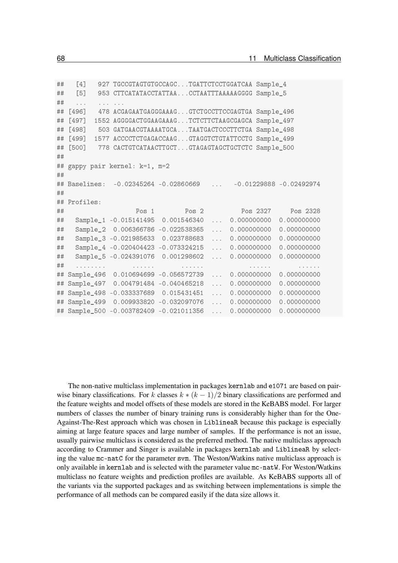| ## | [4]                                                                   |                                                                          | 927 TGCCGTAGTGTGCCAGCTGATTCTCCTGGATCAA Sample_4                          |                         |               |                                                                                    |
|----|-----------------------------------------------------------------------|--------------------------------------------------------------------------|--------------------------------------------------------------------------|-------------------------|---------------|------------------------------------------------------------------------------------|
| ## | [5]                                                                   |                                                                          | 953 CTTCATATACCTATTAACCTAATTTAAAAAGGGG Sample_5                          |                         |               |                                                                                    |
| ## | $\ddot{\phantom{a}}$<br>$\sim$ $\sim$                                 |                                                                          |                                                                          |                         |               |                                                                                    |
| ## | $[496]$                                                               |                                                                          | 478 ACGAGAATGAGGGAAAGGTCTGCCTTCCGAGTGA Sample_496                        |                         |               |                                                                                    |
| ## | $[497]$                                                               |                                                                          | 1552 AGGGGACTGGAAGAAAGTCTCTTCTAAGCGAGCA Sample_497                       |                         |               |                                                                                    |
| ## | $[498]$                                                               |                                                                          | 503 GATGAACGTAAAATGCATAATGACTCCCTTCTGA Sample_498                        |                         |               |                                                                                    |
| ## | $[499]$                                                               |                                                                          | 1577 ACCCCTCTGAGACCAAGGTAGGTCTGTATTCCTG Sample_499                       |                         |               |                                                                                    |
| ## | $[500]$                                                               |                                                                          | 778 CACTGTCATAACTTGCTGTAGAGTAGCTGCTCTC Sample_500                        |                         |               |                                                                                    |
| ## |                                                                       |                                                                          |                                                                          |                         |               |                                                                                    |
|    |                                                                       | ## gappy pair kernel: k=1, m=2                                           |                                                                          |                         |               |                                                                                    |
| ## |                                                                       |                                                                          |                                                                          |                         |               |                                                                                    |
| ## |                                                                       | Baselines: -0.02345264 -0.02860669                                       |                                                                          | $\sim 100$ km s $^{-1}$ |               | $-0.01229888 - 0.02492974$                                                         |
| ## |                                                                       |                                                                          |                                                                          |                         |               |                                                                                    |
| ## | Profiles:                                                             |                                                                          |                                                                          |                         |               |                                                                                    |
| ## |                                                                       | Pos <sub>1</sub>                                                         | Pos 2                                                                    |                         | Pos 2327      | Pos 2328                                                                           |
| ## |                                                                       |                                                                          |                                                                          |                         |               | 0.000000000                                                                        |
|    |                                                                       | Sample_1 -0.015141495 0.001546340                                        |                                                                          | $\mathbf{1}$            | 0.000000000   |                                                                                    |
| ## |                                                                       | Sample_2 0.006366786 -0.022538365                                        |                                                                          | $\mathbf{1}$            | 0.000000000   | 0.000000000                                                                        |
| ## |                                                                       | Sample_3 -0.021985633                                                    | 0.023788683                                                              | $\cdots$                | 0.000000000   | 0.000000000                                                                        |
| ## |                                                                       | Sample_4 -0.020404423 -0.073324215                                       |                                                                          | $\mathbf{1}$            | 0.000000000   | 0.000000000                                                                        |
| ## |                                                                       | Sample_5 -0.024391076                                                    | 0.001298602                                                              | $\sim$ $\sim$           | 0.000000000   | 0.000000000                                                                        |
| ## | $\mathbf{r}$ , and $\mathbf{r}$ , and $\mathbf{r}$ , and $\mathbf{r}$ | $\mathbf{r}$ , $\mathbf{r}$ , $\mathbf{r}$ , $\mathbf{r}$ , $\mathbf{r}$ | $\mathbf{r}$ , $\mathbf{r}$ , $\mathbf{r}$ , $\mathbf{r}$ , $\mathbf{r}$ |                         | and a series. | $\overline{a}$ , $\overline{a}$ , $\overline{a}$ , $\overline{a}$ , $\overline{a}$ |
| ## | Sample_496                                                            |                                                                          | 0.010694699 -0.056572739                                                 | $\mathbf{1}$            | 0.000000000   | 0.000000000                                                                        |
| ## | Sample_497                                                            |                                                                          | 0.004791484 -0.040465218                                                 | $\mathbf{r}$            | 0.000000000   | 0.000000000                                                                        |
| ## | Sample_498                                                            |                                                                          | $-0.033337689$ 0.015431451                                               | $\cdots$                | 0.000000000   | 0.000000000                                                                        |
| ## | Sample_499                                                            |                                                                          | 0.009933820 -0.032097076                                                 | $\mathbf{r}$            | 0.000000000   | 0.000000000                                                                        |

The non-native multiclass implementation in packages kernlab and e1071 are based on pairwise binary classifications. For k classes  $k * (k - 1)/2$  binary classifications are performed and the feature weights and model offsets of these models are stored in the KeBABS model. For larger numbers of classes the number of binary training runs is considerably higher than for the One-Against-The-Rest approach which was chosen in LiblineaR because this package is especially aiming at large feature spaces and large number of samples. If the performance is not an issue, usually pairwise multiclass is considered as the preferred method. The native multiclass approach according to Crammer and Singer is available in packages kernlab and LiblineaR by selecting the value mc-natC for the parameter svm. The Weston/Watkins native multiclass approach is only available in kernlab and is selected with the parameter value mc-natW. For Weston/Watkins multiclass no feature weights and prediction profiles are available. As KeBABS supports all of the variants via the supported packages and as switching between implementations is simple the performance of all methods can be compared easily if the data size allows it.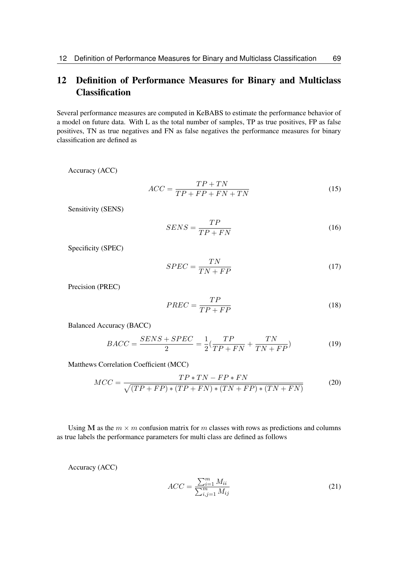# <span id="page-68-0"></span>12 Definition of Performance Measures for Binary and Multiclass Classification

Several performance measures are computed in KeBABS to estimate the performance behavior of a model on future data. With L as the total number of samples, TP as true positives, FP as false positives, TN as true negatives and FN as false negatives the performance measures for binary classification are defined as

Accuracy (ACC)

$$
ACC = \frac{TP + TN}{TP + FP + FN + TN}
$$
\n<sup>(15)</sup>

Sensitivity (SENS)

$$
SENS = \frac{TP}{TP + FN} \tag{16}
$$

Specificity (SPEC)

$$
SPEC = \frac{TN}{TN + FP}
$$
\n<sup>(17)</sup>

Precision (PREC)

$$
PREC = \frac{TP}{TP + FP}
$$
\n<sup>(18)</sup>

Balanced Accuracy (BACC)

$$
BACC = \frac{SENS + SPEC}{2} = \frac{1}{2}(\frac{TP}{TP + FN} + \frac{TN}{TN + FP})
$$
(19)

Matthews Correlation Coefficient (MCC)

$$
MCC = \frac{TP * TN - FP * FN}{\sqrt{(TP + FP) * (TP + FN) * (TN + FP) * (TN + FN)}}
$$
(20)

Using M as the  $m \times m$  confusion matrix for m classes with rows as predictions and columns as true labels the performance parameters for multi class are defined as follows

Accuracy (ACC)

$$
ACC = \frac{\sum_{i=1}^{m} M_{ii}}{\sum_{i,j=1}^{m} M_{ij}}
$$
(21)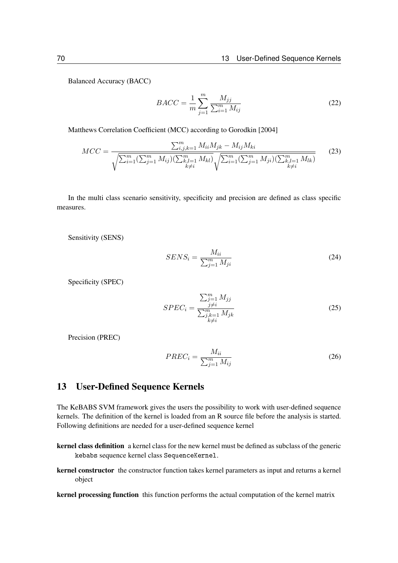Balanced Accuracy (BACC)

$$
BACC = \frac{1}{m} \sum_{j=1}^{m} \frac{M_{jj}}{\sum_{i=1}^{m} M_{ij}}
$$
 (22)

Matthews Correlation Coefficient (MCC) according to [Gorodkin](#page-72-3) [\[2004\]](#page-72-3)

$$
MCC = \frac{\sum_{i,j,k=1}^{m} M_{ii} M_{jk} - M_{ij} M_{ki}}{\sqrt{\sum_{i=1}^{m} (\sum_{j=1}^{m} M_{ij}) (\sum_{k,l=1}^{m} M_{kl})} \sqrt{\sum_{i=1}^{m} (\sum_{j=1}^{m} M_{ji}) (\sum_{k,l=1}^{m} M_{lk})}}
$$
(23)

In the multi class scenario sensitivity, specificity and precision are defined as class specific measures.

Sensitivity (SENS)

$$
SENS_i = \frac{M_{ii}}{\sum_{j=1}^{m} M_{ji}}\tag{24}
$$

Specificity (SPEC)

$$
SPEC_{i} = \frac{\sum_{j=1}^{m} M_{jj}}{\sum_{\substack{j=1 \ k \neq i}}^{m} M_{jk}}
$$
(25)

Precision (PREC)

$$
PREC_i = \frac{M_{ii}}{\sum_{j=1}^{m} M_{ij}}
$$
\n(26)

## 13 User-Defined Sequence Kernels

The KeBABS SVM framework gives the users the possibility to work with user-defined sequence kernels. The definition of the kernel is loaded from an R source file before the analysis is started. Following definitions are needed for a user-defined sequence kernel

- kernel class definition a kernel class for the new kernel must be defined as subclass of the generic kebabs sequence kernel class SequenceKernel.
- kernel constructor the constructor function takes kernel parameters as input and returns a kernel object

kernel processing function this function performs the actual computation of the kernel matrix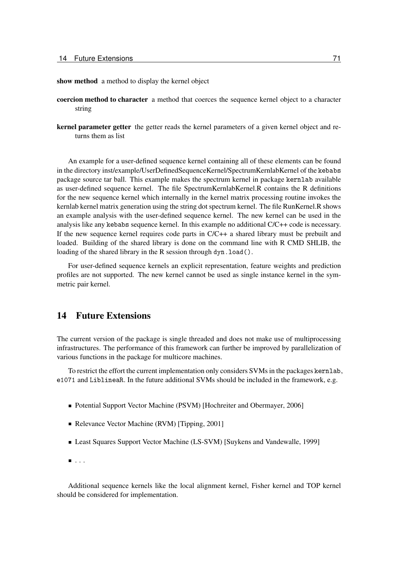show method a method to display the kernel object

- coercion method to character a method that coerces the sequence kernel object to a character string
- kernel parameter getter the getter reads the kernel parameters of a given kernel object and returns them as list

An example for a user-defined sequence kernel containing all of these elements can be found in the directory inst/example/UserDefinedSequenceKernel/SpectrumKernlabKernel of the kebabs package source tar ball. This example makes the spectrum kernel in package kernlab available as user-defined sequence kernel. The file SpectrumKernlabKernel.R contains the R definitions for the new sequence kernel which internally in the kernel matrix processing routine invokes the kernlab kernel matrix generation using the string dot spectrum kernel. The file RunKernel.R shows an example analysis with the user-defined sequence kernel. The new kernel can be used in the analysis like any kebabs sequence kernel. In this example no additional C/C++ code is necessary. If the new sequence kernel requires code parts in  $C/C++$  a shared library must be prebuilt and loaded. Building of the shared library is done on the command line with R CMD SHLIB, the loading of the shared library in the R session through dyn.load().

For user-defined sequence kernels an explicit representation, feature weights and prediction profiles are not supported. The new kernel cannot be used as single instance kernel in the symmetric pair kernel.

## 14 Future Extensions

The current version of the package is single threaded and does not make use of multiprocessing infrastructures. The performance of this framework can further be improved by parallelization of various functions in the package for multicore machines.

To restrict the effort the current implementation only considers SVMs in the packages kernlab, e1071 and LiblineaR. In the future additional SVMs should be included in the framework, e.g.

- Potential Support Vector Machine (PSVM) [\[Hochreiter and Obermayer, 2006\]](#page-72-4)
- Relevance Vector Machine (RVM) [\[Tipping, 2001\]](#page-73-0)
- Least Squares Support Vector Machine (LS-SVM) [\[Suykens and Vandewalle, 1999\]](#page-73-1)
- $\blacksquare$  . . .

Additional sequence kernels like the local alignment kernel, Fisher kernel and TOP kernel should be considered for implementation.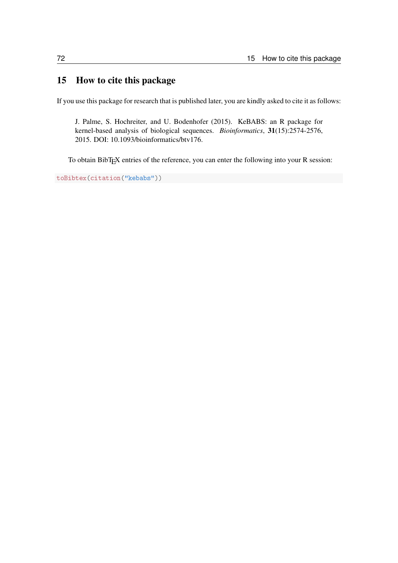# 15 How to cite this package

If you use this package for research that is published later, you are kindly asked to cite it as follows:

J. Palme, S. Hochreiter, and U. Bodenhofer (2015). KeBABS: an R package for kernel-based analysis of biological sequences. *Bioinformatics*, 31(15):2574-2576, 2015. DOI: 10.1093/bioinformatics/btv176.

To obtain BibTEX entries of the reference, you can enter the following into your R session:

```
toBibtex(citation("kebabs"))
```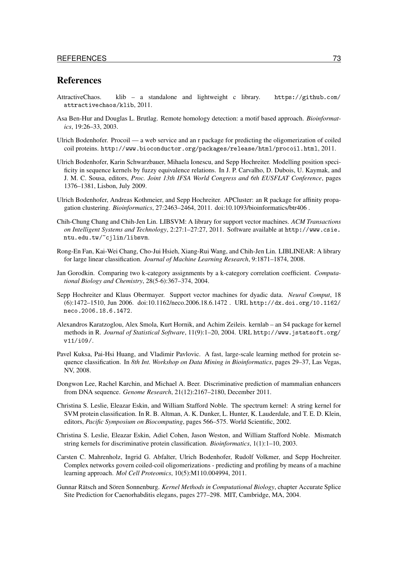## **References**

- AttractiveChaos. klib a standalone and lightweight c library. [https://github.com/](https://github.com/attractivechaos/klib) [attractivechaos/klib](https://github.com/attractivechaos/klib), 2011.
- Asa Ben-Hur and Douglas L. Brutlag. Remote homology detection: a motif based approach. *Bioinformatics*, 19:26–33, 2003.
- Ulrich Bodenhofer. Procoil a web service and an r package for predicting the oligomerization of coiled coil proteins. <http://www.bioconductor.org/packages/release/html/procoil.html>, 2011.
- Ulrich Bodenhofer, Karin Schwarzbauer, Mihaela Ionescu, and Sepp Hochreiter. Modelling position specificity in sequence kernels by fuzzy equivalence relations. In J. P. Carvalho, D. Dubois, U. Kaymak, and J. M. C. Sousa, editors, *Proc. Joint 13th IFSA World Congress and 6th EUSFLAT Conference*, pages 1376–1381, Lisbon, July 2009.
- Ulrich Bodenhofer, Andreas Kothmeier, and Sepp Hochreiter. APCluster: an R package for affinity propagation clustering. *Bioinformatics*, 27:2463–2464, 2011. [doi:10.1093/bioinformatics/btr406](http://dx.doi.org/10.1093/bioinformatics/btr406) .
- Chih-Chung Chang and Chih-Jen Lin. LIBSVM: A library for support vector machines. *ACM Transactions on Intelligent Systems and Technology*, 2:27:1–27:27, 2011. Software available at [http://www.csie.](http://www.csie.ntu.edu.tw/~cjlin/libsvm) [ntu.edu.tw/~cjlin/libsvm](http://www.csie.ntu.edu.tw/~cjlin/libsvm).
- Rong-En Fan, Kai-Wei Chang, Cho-Jui Hsieh, Xiang-Rui Wang, and Chih-Jen Lin. LIBLINEAR: A library for large linear classification. *Journal of Machine Learning Research*, 9:1871–1874, 2008.
- Jan Gorodkin. Comparing two k-category assignments by a k-category correlation coefficient. *Computational Biology and Chemistry*, 28(5-6):367–374, 2004.
- Sepp Hochreiter and Klaus Obermayer. Support vector machines for dyadic data. *Neural Comput*, 18 (6):1472–1510, Jun 2006. [doi:10.1162/neco.2006.18.6.1472](http://dx.doi.org/10.1162/neco.2006.18.6.1472) . URL [http://dx.doi.org/10.1162/](http://dx.doi.org/10.1162/neco.2006.18.6.1472) [neco.2006.18.6.1472](http://dx.doi.org/10.1162/neco.2006.18.6.1472).
- Alexandros Karatzoglou, Alex Smola, Kurt Hornik, and Achim Zeileis. kernlab an S4 package for kernel methods in R. *Journal of Statistical Software*, 11(9):1–20, 2004. URL [http://www.jstatsoft.org/](http://www.jstatsoft.org/v11/i09/) [v11/i09/](http://www.jstatsoft.org/v11/i09/).
- Pavel Kuksa, Pai-Hsi Huang, and Vladimir Pavlovic. A fast, large-scale learning method for protein sequence classification. In *8th Int. Workshop on Data Mining in Bioinformatics*, pages 29–37, Las Vegas, NV, 2008.
- Dongwon Lee, Rachel Karchin, and Michael A. Beer. Discriminative prediction of mammalian enhancers from DNA sequence. *Genome Research*, 21(12):2167–2180, December 2011.
- Christina S. Leslie, Eleazar Eskin, and William Stafford Noble. The spectrum kernel: A string kernel for SVM protein classification. In R. B. Altman, A. K. Dunker, L. Hunter, K. Lauderdale, and T. E. D. Klein, editors, *Pacific Symposium on Biocomputing*, pages 566–575. World Scientific, 2002.
- Christina S. Leslie, Eleazar Eskin, Adiel Cohen, Jason Weston, and William Stafford Noble. Mismatch string kernels for discriminative protein classification. *Bioinformatics*, 1(1):1–10, 2003.
- Carsten C. Mahrenholz, Ingrid G. Abfalter, Ulrich Bodenhofer, Rudolf Volkmer, and Sepp Hochreiter. Complex networks govern coiled-coil oligomerizations - predicting and profiling by means of a machine learning approach. *Mol Cell Proteomics*, 10(5):M110.004994, 2011.
- Gunnar Rätsch and Sören Sonnenburg. *Kernel Methods in Computational Biology*, chapter Accurate Splice Site Prediction for Caenorhabditis elegans, pages 277–298. MIT, Cambridge, MA, 2004.